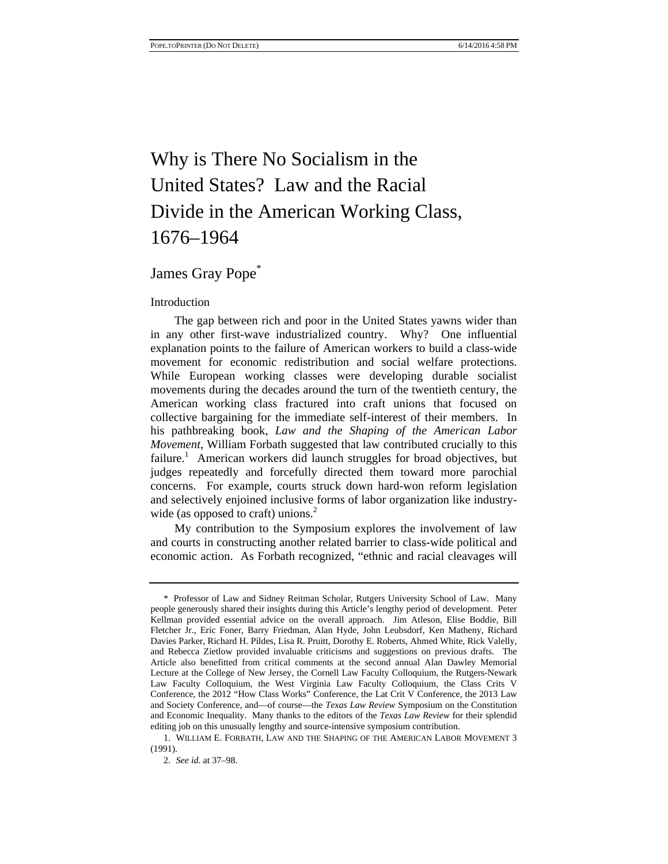# Why is There No Socialism in the United States? Law and the Racial Divide in the American Working Class, 1676–1964

James Gray Pope<sup>\*</sup>

#### Introduction

The gap between rich and poor in the United States yawns wider than in any other first-wave industrialized country. Why? One influential explanation points to the failure of American workers to build a class-wide movement for economic redistribution and social welfare protections. While European working classes were developing durable socialist movements during the decades around the turn of the twentieth century, the American working class fractured into craft unions that focused on collective bargaining for the immediate self-interest of their members. In his pathbreaking book, *Law and the Shaping of the American Labor Movement*, William Forbath suggested that law contributed crucially to this failure.<sup>1</sup> American workers did launch struggles for broad objectives, but judges repeatedly and forcefully directed them toward more parochial concerns. For example, courts struck down hard-won reform legislation and selectively enjoined inclusive forms of labor organization like industrywide (as opposed to craft) unions.<sup>2</sup>

My contribution to the Symposium explores the involvement of law and courts in constructing another related barrier to class-wide political and economic action. As Forbath recognized, "ethnic and racial cleavages will

<sup>\*</sup> Professor of Law and Sidney Reitman Scholar, Rutgers University School of Law. Many people generously shared their insights during this Article's lengthy period of development. Peter Kellman provided essential advice on the overall approach. Jim Atleson, Elise Boddie, Bill Fletcher Jr., Eric Foner, Barry Friedman, Alan Hyde, John Leubsdorf, Ken Matheny, Richard Davies Parker, Richard H. Pildes, Lisa R. Pruitt, Dorothy E. Roberts, Ahmed White, Rick Valelly, and Rebecca Zietlow provided invaluable criticisms and suggestions on previous drafts. The Article also benefitted from critical comments at the second annual Alan Dawley Memorial Lecture at the College of New Jersey, the Cornell Law Faculty Colloquium, the Rutgers-Newark Law Faculty Colloquium, the West Virginia Law Faculty Colloquium, the Class Crits V Conference, the 2012 "How Class Works" Conference, the Lat Crit V Conference, the 2013 Law and Society Conference, and—of course—the *Texas Law Review* Symposium on the Constitution and Economic Inequality. Many thanks to the editors of the *Texas Law Review* for their splendid editing job on this unusually lengthy and source-intensive symposium contribution.

<sup>1.</sup> WILLIAM E. FORBATH, LAW AND THE SHAPING OF THE AMERICAN LABOR MOVEMENT 3 (1991).

<sup>2.</sup> *See id.* at 37–98.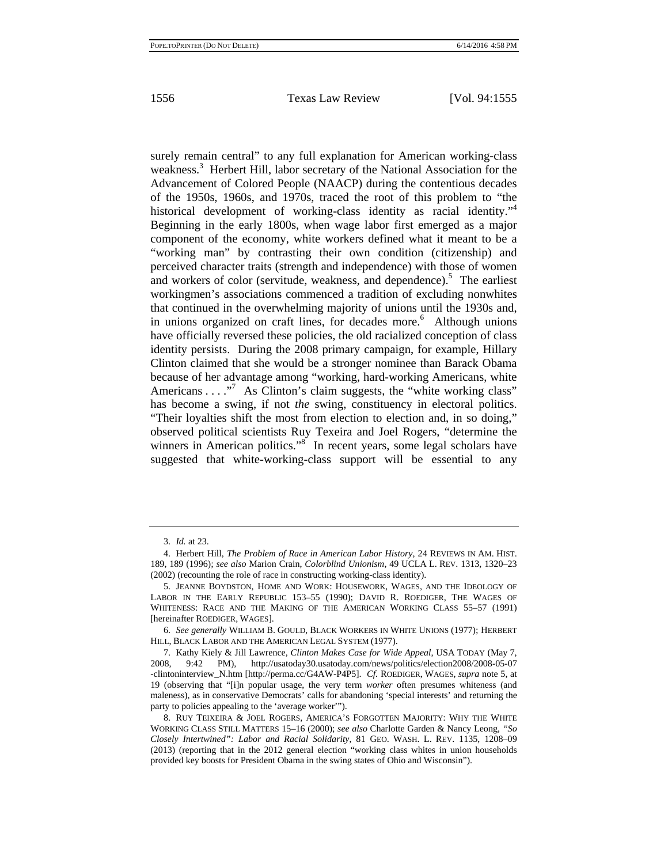surely remain central" to any full explanation for American working-class weakness.<sup>3</sup> Herbert Hill, labor secretary of the National Association for the Advancement of Colored People (NAACP) during the contentious decades of the 1950s, 1960s, and 1970s, traced the root of this problem to "the historical development of working-class identity as racial identity."<sup>4</sup> Beginning in the early 1800s, when wage labor first emerged as a major component of the economy, white workers defined what it meant to be a "working man" by contrasting their own condition (citizenship) and perceived character traits (strength and independence) with those of women and workers of color (servitude, weakness, and dependence).<sup>5</sup> The earliest workingmen's associations commenced a tradition of excluding nonwhites that continued in the overwhelming majority of unions until the 1930s and, in unions organized on craft lines, for decades more.<sup>6</sup> Although unions have officially reversed these policies, the old racialized conception of class identity persists. During the 2008 primary campaign, for example, Hillary Clinton claimed that she would be a stronger nominee than Barack Obama because of her advantage among "working, hard-working Americans, white Americans  $\dots$ ."<sup>7</sup> As Clinton's claim suggests, the "white working class" has become a swing, if not *the* swing, constituency in electoral politics. "Their loyalties shift the most from election to election and, in so doing," observed political scientists Ruy Texeira and Joel Rogers, "determine the winners in American politics."<sup>8</sup> In recent years, some legal scholars have suggested that white-working-class support will be essential to any

<sup>3.</sup> *Id.* at 23.

<sup>4.</sup> Herbert Hill, *The Problem of Race in American Labor History*, 24 REVIEWS IN AM. HIST. 189, 189 (1996); *see also* Marion Crain, *Colorblind Unionism*, 49 UCLA L. REV. 1313, 1320–23 (2002) (recounting the role of race in constructing working-class identity).

<sup>5.</sup> JEANNE BOYDSTON, HOME AND WORK: HOUSEWORK, WAGES, AND THE IDEOLOGY OF LABOR IN THE EARLY REPUBLIC 153–55 (1990); DAVID R. ROEDIGER, THE WAGES OF WHITENESS: RACE AND THE MAKING OF THE AMERICAN WORKING CLASS 55–57 (1991) [hereinafter ROEDIGER, WAGES].

<sup>6.</sup> *See generally* WILLIAM B. GOULD, BLACK WORKERS IN WHITE UNIONS (1977); HERBERT HILL, BLACK LABOR AND THE AMERICAN LEGAL SYSTEM (1977).

<sup>7.</sup> Kathy Kiely & Jill Lawrence, *Clinton Makes Case for Wide Appeal*, USA TODAY (May 7, 2008, 9:42 PM), http://usatoday30.usatoday.com/news/politics/election2008/2008-05-07 -clintoninterview\_N.htm [http://perma.cc/G4AW-P4P5]. *Cf.* ROEDIGER, WAGES, *supra* note 5, at 19 (observing that "[i]n popular usage, the very term *worker* often presumes whiteness (and maleness), as in conservative Democrats' calls for abandoning 'special interests' and returning the party to policies appealing to the 'average worker'").

<sup>8.</sup> RUY TEIXEIRA & JOEL ROGERS, AMERICA'S FORGOTTEN MAJORITY: WHY THE WHITE WORKING CLASS STILL MATTERS 15–16 (2000); *see also* Charlotte Garden & Nancy Leong, *"So Closely Intertwined": Labor and Racial Solidarity*, 81 GEO. WASH. L. REV. 1135, 1208–09 (2013) (reporting that in the 2012 general election "working class whites in union households provided key boosts for President Obama in the swing states of Ohio and Wisconsin").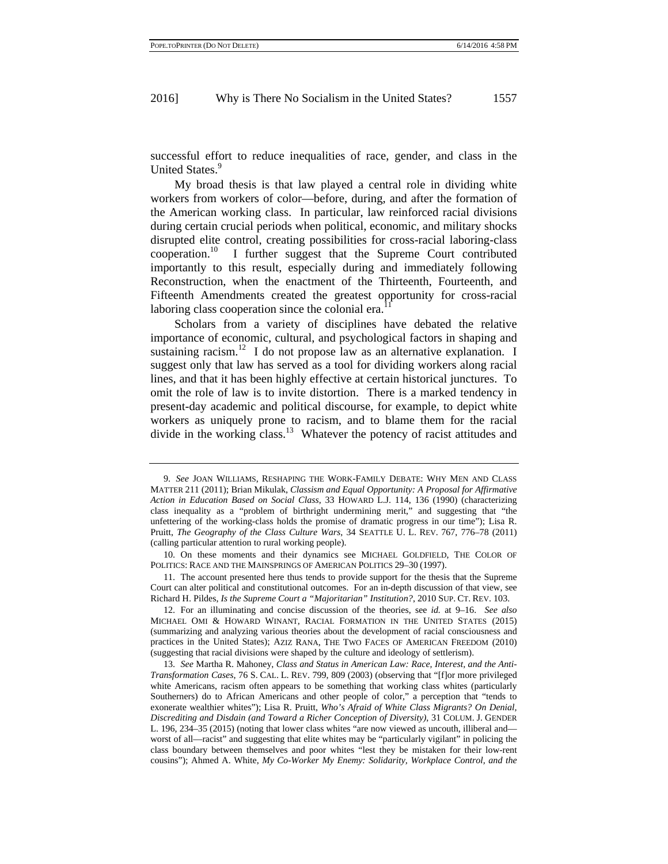successful effort to reduce inequalities of race, gender, and class in the United States.<sup>9</sup>

My broad thesis is that law played a central role in dividing white workers from workers of color—before, during, and after the formation of the American working class. In particular, law reinforced racial divisions during certain crucial periods when political, economic, and military shocks disrupted elite control, creating possibilities for cross-racial laboring-class cooperation.<sup>10</sup> I further suggest that the Supreme Court contributed importantly to this result, especially during and immediately following Reconstruction, when the enactment of the Thirteenth, Fourteenth, and Fifteenth Amendments created the greatest opportunity for cross-racial laboring class cooperation since the colonial era.<sup>1</sup>

Scholars from a variety of disciplines have debated the relative importance of economic, cultural, and psychological factors in shaping and sustaining racism.<sup>12</sup> I do not propose law as an alternative explanation. I suggest only that law has served as a tool for dividing workers along racial lines, and that it has been highly effective at certain historical junctures. To omit the role of law is to invite distortion. There is a marked tendency in present-day academic and political discourse, for example, to depict white workers as uniquely prone to racism, and to blame them for the racial divide in the working class.<sup>13</sup> Whatever the potency of racist attitudes and

<sup>9.</sup> *See* JOAN WILLIAMS, RESHAPING THE WORK-FAMILY DEBATE: WHY MEN AND CLASS MATTER 211 (2011); Brian Mikulak, *Classism and Equal Opportunity: A Proposal for Affirmative Action in Education Based on Social Class*, 33 HOWARD L.J. 114, 136 (1990) (characterizing class inequality as a "problem of birthright undermining merit," and suggesting that "the unfettering of the working-class holds the promise of dramatic progress in our time"); Lisa R. Pruitt, *The Geography of the Class Culture Wars*, 34 SEATTLE U. L. REV. 767, 776–78 (2011) (calling particular attention to rural working people).

<sup>10.</sup> On these moments and their dynamics see MICHAEL GOLDFIELD, THE COLOR OF POLITICS: RACE AND THE MAINSPRINGS OF AMERICAN POLITICS 29–30 (1997).

<sup>11.</sup> The account presented here thus tends to provide support for the thesis that the Supreme Court can alter political and constitutional outcomes. For an in-depth discussion of that view, see Richard H. Pildes, *Is the Supreme Court a "Majoritarian" Institution?*, 2010 SUP. CT. REV. 103.

<sup>12.</sup> For an illuminating and concise discussion of the theories, see *id.* at 9–16. *See also*  MICHAEL OMI & HOWARD WINANT, RACIAL FORMATION IN THE UNITED STATES (2015) (summarizing and analyzing various theories about the development of racial consciousness and practices in the United States); AZIZ RANA, THE TWO FACES OF AMERICAN FREEDOM (2010) (suggesting that racial divisions were shaped by the culture and ideology of settlerism).

<sup>13.</sup> *See* Martha R. Mahoney, *Class and Status in American Law: Race, Interest, and the Anti-Transformation Cases*, 76 S. CAL. L. REV. 799, 809 (2003) (observing that "[f]or more privileged white Americans, racism often appears to be something that working class whites (particularly Southerners) do to African Americans and other people of color," a perception that "tends to exonerate wealthier whites"); Lisa R. Pruitt, *Who's Afraid of White Class Migrants? On Denial, Discrediting and Disdain (and Toward a Richer Conception of Diversity)*, 31 COLUM. J. GENDER L. 196, 234–35 (2015) (noting that lower class whites "are now viewed as uncouth, illiberal and worst of all—racist" and suggesting that elite whites may be "particularly vigilant" in policing the class boundary between themselves and poor whites "lest they be mistaken for their low-rent cousins"); Ahmed A. White, *My Co-Worker My Enemy: Solidarity, Workplace Control, and the*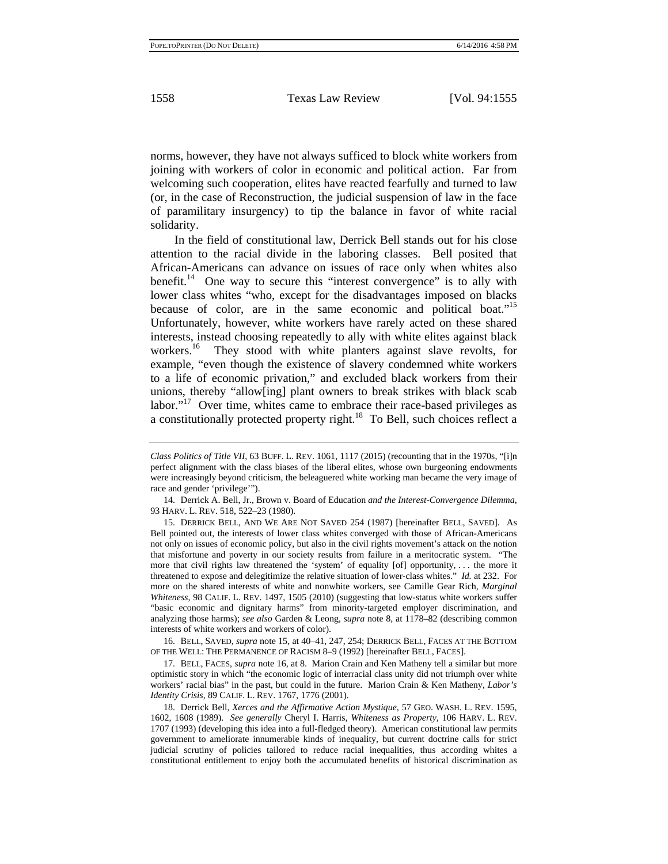norms, however, they have not always sufficed to block white workers from joining with workers of color in economic and political action. Far from welcoming such cooperation, elites have reacted fearfully and turned to law (or, in the case of Reconstruction, the judicial suspension of law in the face of paramilitary insurgency) to tip the balance in favor of white racial solidarity.

In the field of constitutional law, Derrick Bell stands out for his close attention to the racial divide in the laboring classes. Bell posited that African-Americans can advance on issues of race only when whites also benefit.<sup>14</sup> One way to secure this "interest convergence" is to ally with lower class whites "who, except for the disadvantages imposed on blacks because of color, are in the same economic and political boat."<sup>15</sup> Unfortunately, however, white workers have rarely acted on these shared interests, instead choosing repeatedly to ally with white elites against black workers.<sup>16</sup> They stood with white planters against slave revolts, for example, "even though the existence of slavery condemned white workers to a life of economic privation," and excluded black workers from their unions, thereby "allow[ing] plant owners to break strikes with black scab labor."<sup>17</sup> Over time, whites came to embrace their race-based privileges as a constitutionally protected property right.<sup>18</sup> To Bell, such choices reflect a

16. BELL, SAVED, *supra* note 15, at 40–41, 247, 254; DERRICK BELL, FACES AT THE BOTTOM OF THE WELL: THE PERMANENCE OF RACISM 8–9 (1992) [hereinafter BELL, FACES].

17. BELL, FACES, *supra* note 16, at 8. Marion Crain and Ken Matheny tell a similar but more optimistic story in which "the economic logic of interracial class unity did not triumph over white workers' racial bias" in the past, but could in the future. Marion Crain & Ken Matheny, *Labor's Identity Crisis*, 89 CALIF. L. REV. 1767, 1776 (2001).

18. Derrick Bell, *Xerces and the Affirmative Action Mystique*, 57 GEO. WASH. L. REV. 1595, 1602, 1608 (1989). *See generally* Cheryl I. Harris, *Whiteness as Property*, 106 HARV. L. REV. 1707 (1993) (developing this idea into a full-fledged theory). American constitutional law permits government to ameliorate innumerable kinds of inequality, but current doctrine calls for strict judicial scrutiny of policies tailored to reduce racial inequalities, thus according whites a constitutional entitlement to enjoy both the accumulated benefits of historical discrimination as

*Class Politics of Title VII*, 63 BUFF. L. REV. 1061, 1117 (2015) (recounting that in the 1970s, "[i]n perfect alignment with the class biases of the liberal elites, whose own burgeoning endowments were increasingly beyond criticism, the beleaguered white working man became the very image of race and gender 'privilege'").

<sup>14.</sup> Derrick A. Bell, Jr., Brown v. Board of Education *and the Interest-Convergence Dilemma*, 93 HARV. L. REV. 518, 522–23 (1980).

<sup>15.</sup> DERRICK BELL, AND WE ARE NOT SAVED 254 (1987) [hereinafter BELL, SAVED]. As Bell pointed out, the interests of lower class whites converged with those of African-Americans not only on issues of economic policy, but also in the civil rights movement's attack on the notion that misfortune and poverty in our society results from failure in a meritocratic system. "The more that civil rights law threatened the 'system' of equality [of] opportunity, . . . the more it threatened to expose and delegitimize the relative situation of lower-class whites." *Id.* at 232. For more on the shared interests of white and nonwhite workers, see Camille Gear Rich, *Marginal Whiteness*, 98 CALIF. L. REV. 1497, 1505 (2010) (suggesting that low-status white workers suffer "basic economic and dignitary harms" from minority-targeted employer discrimination, and analyzing those harms); *see also* Garden & Leong, *supra* note 8, at 1178–82 (describing common interests of white workers and workers of color).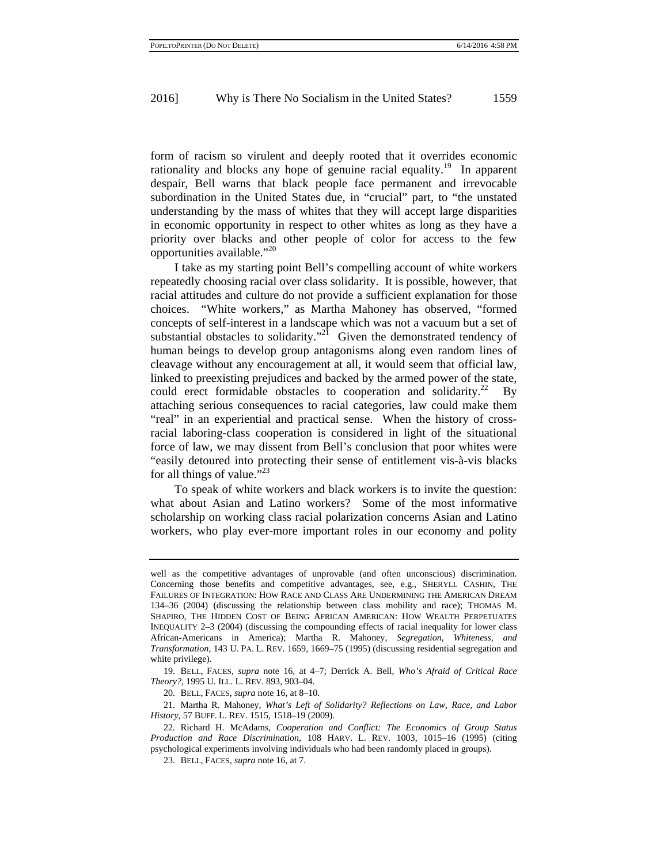form of racism so virulent and deeply rooted that it overrides economic rationality and blocks any hope of genuine racial equality.<sup>19</sup> In apparent despair, Bell warns that black people face permanent and irrevocable subordination in the United States due, in "crucial" part, to "the unstated understanding by the mass of whites that they will accept large disparities in economic opportunity in respect to other whites as long as they have a priority over blacks and other people of color for access to the few opportunities available."<sup>20</sup>

I take as my starting point Bell's compelling account of white workers repeatedly choosing racial over class solidarity. It is possible, however, that racial attitudes and culture do not provide a sufficient explanation for those choices. "White workers," as Martha Mahoney has observed, "formed concepts of self-interest in a landscape which was not a vacuum but a set of substantial obstacles to solidarity."<sup>21</sup> Given the demonstrated tendency of human beings to develop group antagonisms along even random lines of cleavage without any encouragement at all, it would seem that official law, linked to preexisting prejudices and backed by the armed power of the state, could erect formidable obstacles to cooperation and solidarity.<sup>22</sup> By attaching serious consequences to racial categories, law could make them "real" in an experiential and practical sense. When the history of crossracial laboring-class cooperation is considered in light of the situational force of law, we may dissent from Bell's conclusion that poor whites were "easily detoured into protecting their sense of entitlement vis-à-vis blacks for all things of value."<sup>23</sup>

To speak of white workers and black workers is to invite the question: what about Asian and Latino workers? Some of the most informative scholarship on working class racial polarization concerns Asian and Latino workers, who play ever-more important roles in our economy and polity

20. BELL, FACES, *supra* note 16, at 8–10.

21. Martha R. Mahoney, *What's Left of Solidarity? Reflections on Law, Race, and Labor History*, 57 BUFF. L. REV. 1515, 1518–19 (2009).

well as the competitive advantages of unprovable (and often unconscious) discrimination. Concerning those benefits and competitive advantages, see, e.g., SHERYLL CASHIN, THE FAILURES OF INTEGRATION: HOW RACE AND CLASS ARE UNDERMINING THE AMERICAN DREAM 134–36 (2004) (discussing the relationship between class mobility and race); THOMAS M. SHAPIRO, THE HIDDEN COST OF BEING AFRICAN AMERICAN: HOW WEALTH PERPETUATES INEQUALITY 2–3 (2004) (discussing the compounding effects of racial inequality for lower class African-Americans in America); Martha R. Mahoney, *Segregation, Whiteness, and Transformation*, 143 U. PA. L. REV. 1659, 1669–75 (1995) (discussing residential segregation and white privilege).

<sup>19.</sup> BELL, FACES, *supra* note 16, at 4–7; Derrick A. Bell, *Who's Afraid of Critical Race Theory?*, 1995 U. ILL. L. REV. 893, 903–04.

<sup>22.</sup> Richard H. McAdams, *Cooperation and Conflict: The Economics of Group Status Production and Race Discrimination*, 108 HARV. L. REV. 1003, 1015–16 (1995) (citing psychological experiments involving individuals who had been randomly placed in groups).

<sup>23.</sup> BELL, FACES, *supra* note 16, at 7.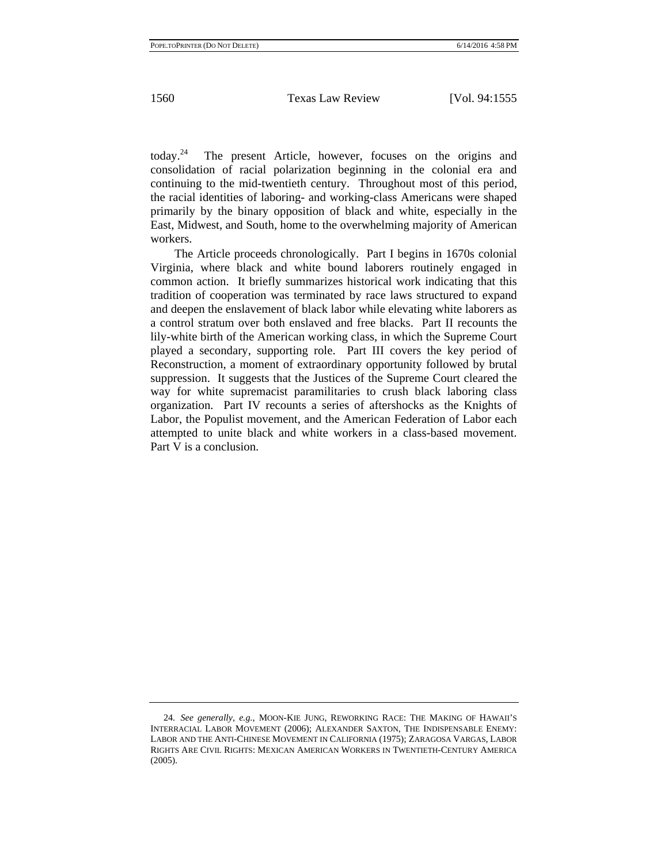today.24 The present Article, however, focuses on the origins and consolidation of racial polarization beginning in the colonial era and continuing to the mid-twentieth century. Throughout most of this period, the racial identities of laboring- and working-class Americans were shaped primarily by the binary opposition of black and white, especially in the East, Midwest, and South, home to the overwhelming majority of American workers.

The Article proceeds chronologically. Part I begins in 1670s colonial Virginia, where black and white bound laborers routinely engaged in common action. It briefly summarizes historical work indicating that this tradition of cooperation was terminated by race laws structured to expand and deepen the enslavement of black labor while elevating white laborers as a control stratum over both enslaved and free blacks. Part II recounts the lily-white birth of the American working class, in which the Supreme Court played a secondary, supporting role. Part III covers the key period of Reconstruction, a moment of extraordinary opportunity followed by brutal suppression. It suggests that the Justices of the Supreme Court cleared the way for white supremacist paramilitaries to crush black laboring class organization. Part IV recounts a series of aftershocks as the Knights of Labor, the Populist movement, and the American Federation of Labor each attempted to unite black and white workers in a class-based movement. Part V is a conclusion.

<sup>24.</sup> *See generally, e.g.*, MOON-KIE JUNG, REWORKING RACE: THE MAKING OF HAWAII'S INTERRACIAL LABOR MOVEMENT (2006); ALEXANDER SAXTON, THE INDISPENSABLE ENEMY: LABOR AND THE ANTI-CHINESE MOVEMENT IN CALIFORNIA (1975); ZARAGOSA VARGAS, LABOR RIGHTS ARE CIVIL RIGHTS: MEXICAN AMERICAN WORKERS IN TWENTIETH-CENTURY AMERICA (2005).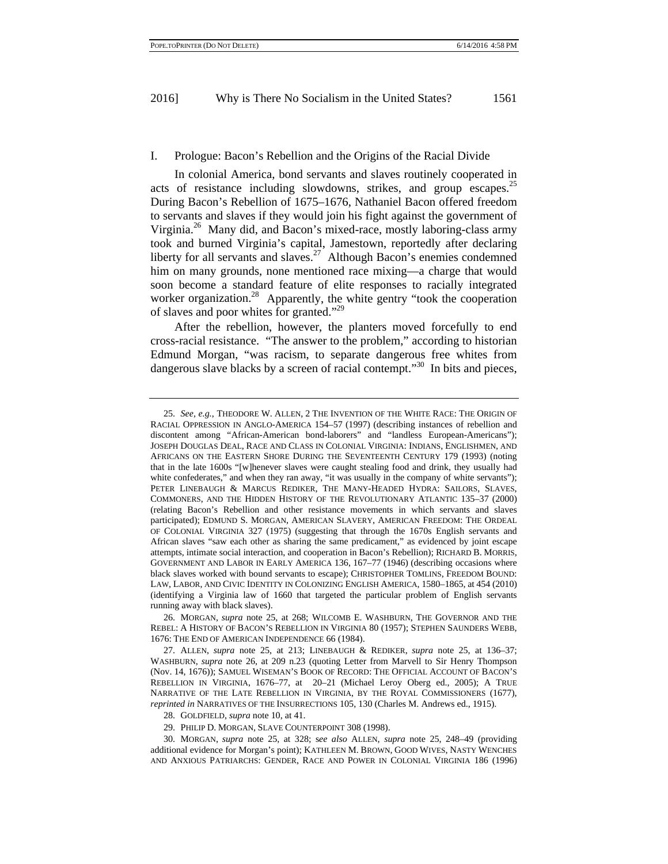#### I. Prologue: Bacon's Rebellion and the Origins of the Racial Divide

In colonial America, bond servants and slaves routinely cooperated in acts of resistance including slowdowns, strikes, and group escapes.<sup>25</sup> During Bacon's Rebellion of 1675–1676, Nathaniel Bacon offered freedom to servants and slaves if they would join his fight against the government of Virginia.<sup>26</sup> Many did, and Bacon's mixed-race, mostly laboring-class army took and burned Virginia's capital, Jamestown, reportedly after declaring liberty for all servants and slaves.<sup>27</sup> Although Bacon's enemies condemned him on many grounds, none mentioned race mixing—a charge that would soon become a standard feature of elite responses to racially integrated worker organization.<sup>28</sup> Apparently, the white gentry "took the cooperation of slaves and poor whites for granted."29

After the rebellion, however, the planters moved forcefully to end cross-racial resistance. "The answer to the problem," according to historian Edmund Morgan, "was racism, to separate dangerous free whites from dangerous slave blacks by a screen of racial contempt."<sup>30</sup> In bits and pieces,

<sup>25.</sup> *See, e.g.*, THEODORE W. ALLEN, 2 THE INVENTION OF THE WHITE RACE: THE ORIGIN OF RACIAL OPPRESSION IN ANGLO-AMERICA 154–57 (1997) (describing instances of rebellion and discontent among "African-American bond-laborers" and "landless European-Americans"); JOSEPH DOUGLAS DEAL, RACE AND CLASS IN COLONIAL VIRGINIA: INDIANS, ENGLISHMEN, AND AFRICANS ON THE EASTERN SHORE DURING THE SEVENTEENTH CENTURY 179 (1993) (noting that in the late 1600s "[w]henever slaves were caught stealing food and drink, they usually had white confederates," and when they ran away, "it was usually in the company of white servants"); PETER LINEBAUGH & MARCUS REDIKER, THE MANY-HEADED HYDRA: SAILORS, SLAVES, COMMONERS, AND THE HIDDEN HISTORY OF THE REVOLUTIONARY ATLANTIC 135–37 (2000) (relating Bacon's Rebellion and other resistance movements in which servants and slaves participated); EDMUND S. MORGAN, AMERICAN SLAVERY, AMERICAN FREEDOM: THE ORDEAL OF COLONIAL VIRGINIA 327 (1975) (suggesting that through the 1670s English servants and African slaves "saw each other as sharing the same predicament," as evidenced by joint escape attempts, intimate social interaction, and cooperation in Bacon's Rebellion); RICHARD B. MORRIS, GOVERNMENT AND LABOR IN EARLY AMERICA 136, 167–77 (1946) (describing occasions where black slaves worked with bound servants to escape); CHRISTOPHER TOMLINS, FREEDOM BOUND: LAW, LABOR, AND CIVIC IDENTITY IN COLONIZING ENGLISH AMERICA, 1580–1865, at 454 (2010) (identifying a Virginia law of 1660 that targeted the particular problem of English servants running away with black slaves).

<sup>26.</sup> MORGAN, *supra* note 25, at 268; WILCOMB E. WASHBURN, THE GOVERNOR AND THE REBEL: A HISTORY OF BACON'S REBELLION IN VIRGINIA 80 (1957); STEPHEN SAUNDERS WEBB, 1676: THE END OF AMERICAN INDEPENDENCE 66 (1984).

<sup>27.</sup> ALLEN, *supra* note 25, at 213; LINEBAUGH & REDIKER, *supra* note 25, at 136–37; WASHBURN, *supra* note 26, at 209 n.23 (quoting Letter from Marvell to Sir Henry Thompson (Nov. 14, 1676)); SAMUEL WISEMAN'S BOOK OF RECORD: THE OFFICIAL ACCOUNT OF BACON'S REBELLION IN VIRGINIA, 1676–77, at 20–21 (Michael Leroy Oberg ed., 2005); A TRUE NARRATIVE OF THE LATE REBELLION IN VIRGINIA, BY THE ROYAL COMMISSIONERS (1677), *reprinted in* NARRATIVES OF THE INSURRECTIONS 105, 130 (Charles M. Andrews ed., 1915).

<sup>28.</sup> GOLDFIELD, *supra* note 10, at 41.

<sup>29.</sup> PHILIP D. MORGAN, SLAVE COUNTERPOINT 308 (1998).

<sup>30.</sup> MORGAN, *supra* note 25, at 328; s*ee also* ALLEN, *supra* note 25, 248–49 (providing additional evidence for Morgan's point); KATHLEEN M. BROWN, GOOD WIVES, NASTY WENCHES AND ANXIOUS PATRIARCHS: GENDER, RACE AND POWER IN COLONIAL VIRGINIA 186 (1996)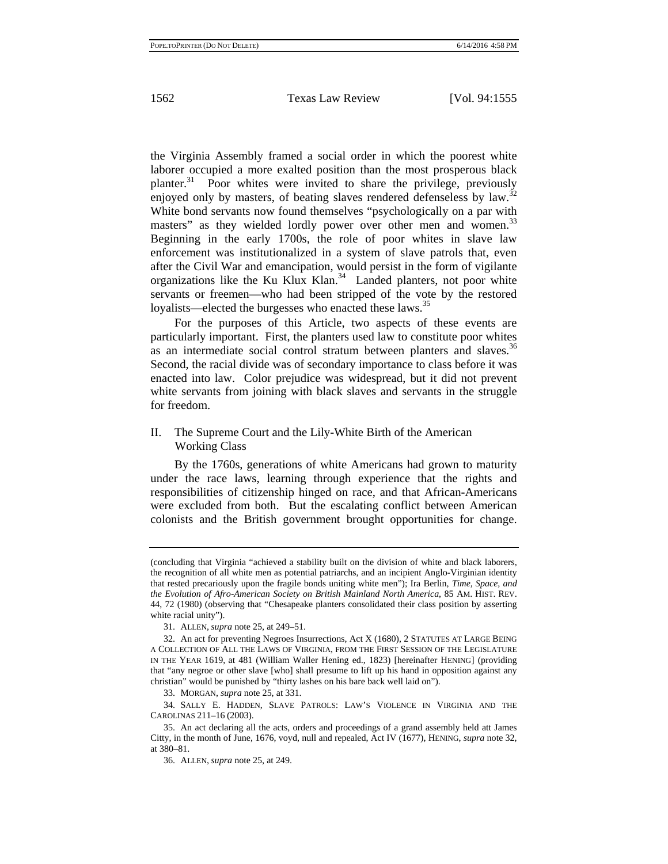the Virginia Assembly framed a social order in which the poorest white laborer occupied a more exalted position than the most prosperous black planter.<sup>31</sup> Poor whites were invited to share the privilege, previously enjoyed only by masters, of beating slaves rendered defenseless by law.<sup>32</sup> White bond servants now found themselves "psychologically on a par with masters" as they wielded lordly power over other men and women.<sup>33</sup> Beginning in the early 1700s, the role of poor whites in slave law enforcement was institutionalized in a system of slave patrols that, even after the Civil War and emancipation, would persist in the form of vigilante organizations like the Ku Klux Klan.<sup>34</sup> Landed planters, not poor white servants or freemen—who had been stripped of the vote by the restored loyalists—elected the burgesses who enacted these laws.<sup>35</sup>

For the purposes of this Article, two aspects of these events are particularly important. First, the planters used law to constitute poor whites as an intermediate social control stratum between planters and slaves.<sup>36</sup> Second, the racial divide was of secondary importance to class before it was enacted into law. Color prejudice was widespread, but it did not prevent white servants from joining with black slaves and servants in the struggle for freedom.

# II. The Supreme Court and the Lily-White Birth of the American Working Class

By the 1760s, generations of white Americans had grown to maturity under the race laws, learning through experience that the rights and responsibilities of citizenship hinged on race, and that African-Americans were excluded from both. But the escalating conflict between American colonists and the British government brought opportunities for change.

<sup>(</sup>concluding that Virginia "achieved a stability built on the division of white and black laborers, the recognition of all white men as potential patriarchs, and an incipient Anglo-Virginian identity that rested precariously upon the fragile bonds uniting white men"); Ira Berlin, *Time, Space, and the Evolution of Afro-American Society on British Mainland North America*, 85 AM. HIST. REV. 44, 72 (1980) (observing that "Chesapeake planters consolidated their class position by asserting white racial unity").

<sup>31.</sup> ALLEN, *supra* note 25, at 249–51.

<sup>32.</sup> An act for preventing Negroes Insurrections, Act X (1680), 2 STATUTES AT LARGE BEING A COLLECTION OF ALL THE LAWS OF VIRGINIA, FROM THE FIRST SESSION OF THE LEGISLATURE IN THE YEAR 1619, at 481 (William Waller Hening ed., 1823) [hereinafter HENING] (providing that "any negroe or other slave [who] shall presume to lift up his hand in opposition against any christian" would be punished by "thirty lashes on his bare back well laid on").

<sup>33.</sup> MORGAN, *supra* note 25, at 331.

<sup>34.</sup> SALLY E. HADDEN, SLAVE PATROLS: LAW'S VIOLENCE IN VIRGINIA AND THE CAROLINAS 211–16 (2003).

<sup>35.</sup> An act declaring all the acts, orders and proceedings of a grand assembly held att James Citty, in the month of June, 1676, voyd, null and repealed, Act IV (1677), HENING, *supra* note 32, at 380–81.

<sup>36.</sup> ALLEN, *supra* note 25, at 249.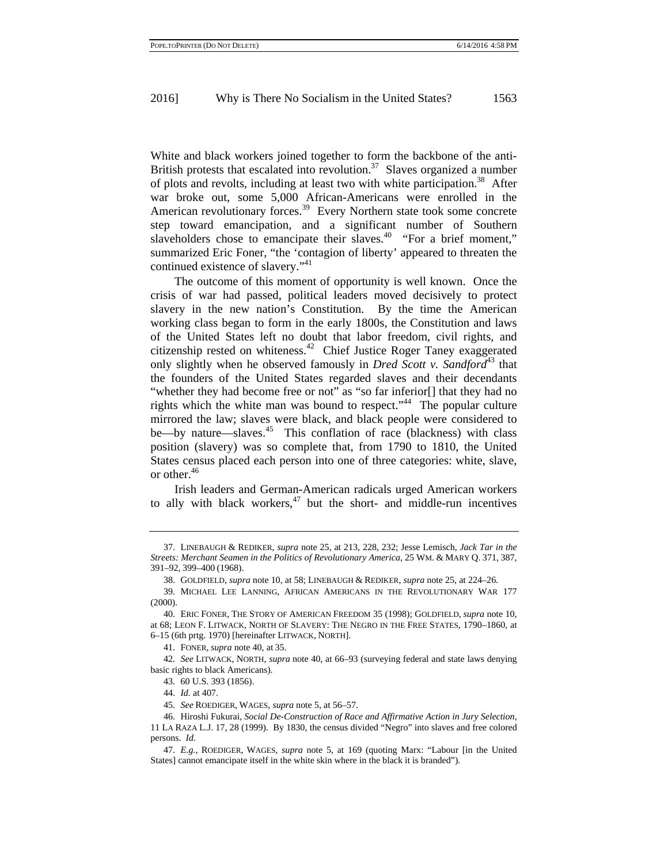White and black workers joined together to form the backbone of the anti-British protests that escalated into revolution.<sup>37</sup> Slaves organized a number of plots and revolts, including at least two with white participation.<sup>38</sup> After war broke out, some 5,000 African-Americans were enrolled in the American revolutionary forces.<sup>39</sup> Every Northern state took some concrete step toward emancipation, and a significant number of Southern slaveholders chose to emancipate their slaves.<sup>40</sup> "For a brief moment," summarized Eric Foner, "the 'contagion of liberty' appeared to threaten the continued existence of slavery."<sup>41</sup>

The outcome of this moment of opportunity is well known. Once the crisis of war had passed, political leaders moved decisively to protect slavery in the new nation's Constitution. By the time the American working class began to form in the early 1800s, the Constitution and laws of the United States left no doubt that labor freedom, civil rights, and citizenship rested on whiteness.42 Chief Justice Roger Taney exaggerated only slightly when he observed famously in *Dred Scott v. Sandford*<sup>43</sup> that the founders of the United States regarded slaves and their decendants "whether they had become free or not" as "so far inferior[] that they had no rights which the white man was bound to respect."<sup>44</sup> The popular culture mirrored the law; slaves were black, and black people were considered to be—by nature—slaves.<sup>45</sup> This conflation of race (blackness) with class position (slavery) was so complete that, from 1790 to 1810, the United States census placed each person into one of three categories: white, slave, or other.46

Irish leaders and German-American radicals urged American workers to ally with black workers, $47$  but the short- and middle-run incentives

<sup>37.</sup> LINEBAUGH & REDIKER, *supra* note 25, at 213, 228, 232; Jesse Lemisch, *Jack Tar in the Streets: Merchant Seamen in the Politics of Revolutionary America*, 25 WM. & MARY Q. 371, 387, 391–92, 399–400 (1968).

<sup>38.</sup> GOLDFIELD, *supra* note 10, at 58; LINEBAUGH & REDIKER, *supra* note 25, at 224–26.

<sup>39.</sup> MICHAEL LEE LANNING, AFRICAN AMERICANS IN THE REVOLUTIONARY WAR 177 (2000).

<sup>40.</sup> ERIC FONER, THE STORY OF AMERICAN FREEDOM 35 (1998); GOLDFIELD, *supra* note 10, at 68; LEON F. LITWACK, NORTH OF SLAVERY: THE NEGRO IN THE FREE STATES, 1790–1860, at 6–15 (6th prtg. 1970) [hereinafter LITWACK, NORTH].

<sup>41.</sup> FONER, *supra* note 40, at 35.

<sup>42.</sup> *See* LITWACK, NORTH, *supra* note 40, at 66–93 (surveying federal and state laws denying basic rights to black Americans).

<sup>43. 60</sup> U.S. 393 (1856).

<sup>44.</sup> *Id.* at 407.

<sup>45.</sup> *See* ROEDIGER, WAGES, *supra* note 5, at 56–57.

<sup>46.</sup> Hiroshi Fukurai, *Social De-Construction of Race and Affirmative Action in Jury Selection*, 11 LA RAZA L.J. 17, 28 (1999). By 1830, the census divided "Negro" into slaves and free colored persons. *Id.*

<sup>47.</sup> *E.g.*, ROEDIGER, WAGES, *supra* note 5, at 169 (quoting Marx: "Labour [in the United States] cannot emancipate itself in the white skin where in the black it is branded").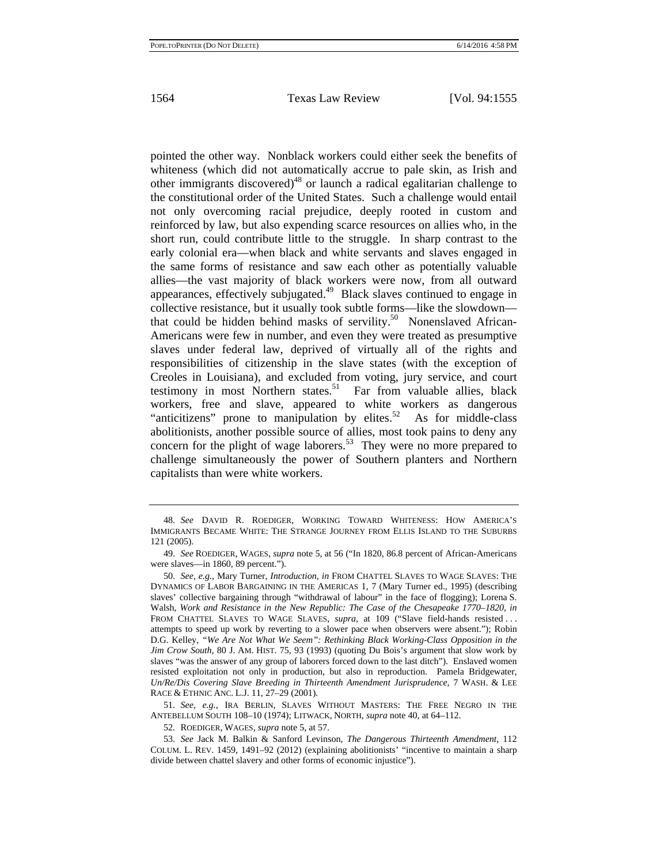pointed the other way. Nonblack workers could either seek the benefits of whiteness (which did not automatically accrue to pale skin, as Irish and other immigrants discovered)<sup>48</sup> or launch a radical egalitarian challenge to the constitutional order of the United States. Such a challenge would entail not only overcoming racial prejudice, deeply rooted in custom and reinforced by law, but also expending scarce resources on allies who, in the short run, could contribute little to the struggle. In sharp contrast to the early colonial era—when black and white servants and slaves engaged in the same forms of resistance and saw each other as potentially valuable allies—the vast majority of black workers were now, from all outward appearances, effectively subjugated.49 Black slaves continued to engage in collective resistance, but it usually took subtle forms—like the slowdown that could be hidden behind masks of servility.<sup>50</sup> Nonenslaved African-Americans were few in number, and even they were treated as presumptive slaves under federal law, deprived of virtually all of the rights and responsibilities of citizenship in the slave states (with the exception of Creoles in Louisiana), and excluded from voting, jury service, and court testimony in most Northern states.<sup>51</sup> Far from valuable allies, black workers, free and slave, appeared to white workers as dangerous "anticitizens" prone to manipulation by elites.<sup>52</sup> As for middle-class abolitionists, another possible source of allies, most took pains to deny any concern for the plight of wage laborers.<sup>53</sup> They were no more prepared to challenge simultaneously the power of Southern planters and Northern capitalists than were white workers.

51. *See, e.g.*, IRA BERLIN, SLAVES WITHOUT MASTERS: THE FREE NEGRO IN THE ANTEBELLUM SOUTH 108–10 (1974); LITWACK, NORTH, *supra* note 40, at 64–112.

52. ROEDIGER, WAGES, *supra* note 5, at 57.

<sup>48.</sup> *See* DAVID R. ROEDIGER, WORKING TOWARD WHITENESS: HOW AMERICA'S IMMIGRANTS BECAME WHITE: THE STRANGE JOURNEY FROM ELLIS ISLAND TO THE SUBURBS 121 (2005).

<sup>49.</sup> *See* ROEDIGER, WAGES, *supra* note 5, at 56 ("In 1820, 86.8 percent of African-Americans were slaves—in 1860, 89 percent.").

<sup>50.</sup> *See, e.g.*, Mary Turner, *Introduction*, *in* FROM CHATTEL SLAVES TO WAGE SLAVES: THE DYNAMICS OF LABOR BARGAINING IN THE AMERICAS 1, 7 (Mary Turner ed., 1995) (describing slaves' collective bargaining through "withdrawal of labour" in the face of flogging); Lorena S. Walsh, *Work and Resistance in the New Republic: The Case of the Chesapeake 1770–1820*, *in* FROM CHATTEL SLAVES TO WAGE SLAVES, *supra*, at 109 ("Slave field-hands resisted . . . attempts to speed up work by reverting to a slower pace when observers were absent."); Robin D.G. Kelley, *"We Are Not What We Seem": Rethinking Black Working-Class Opposition in the Jim Crow South*, 80 J. AM. HIST. 75, 93 (1993) (quoting Du Bois's argument that slow work by slaves "was the answer of any group of laborers forced down to the last ditch"). Enslaved women resisted exploitation not only in production, but also in reproduction. Pamela Bridgewater, *Un/Re/Dis Covering Slave Breeding in Thirteenth Amendment Jurisprudence*, 7 WASH. & LEE RACE & ETHNIC ANC. L.J. 11, 27–29 (2001).

<sup>53.</sup> *See* Jack M. Balkin & Sanford Levinson, *The Dangerous Thirteenth Amendment*, 112 COLUM. L. REV. 1459, 1491–92 (2012) (explaining abolitionists' "incentive to maintain a sharp divide between chattel slavery and other forms of economic injustice").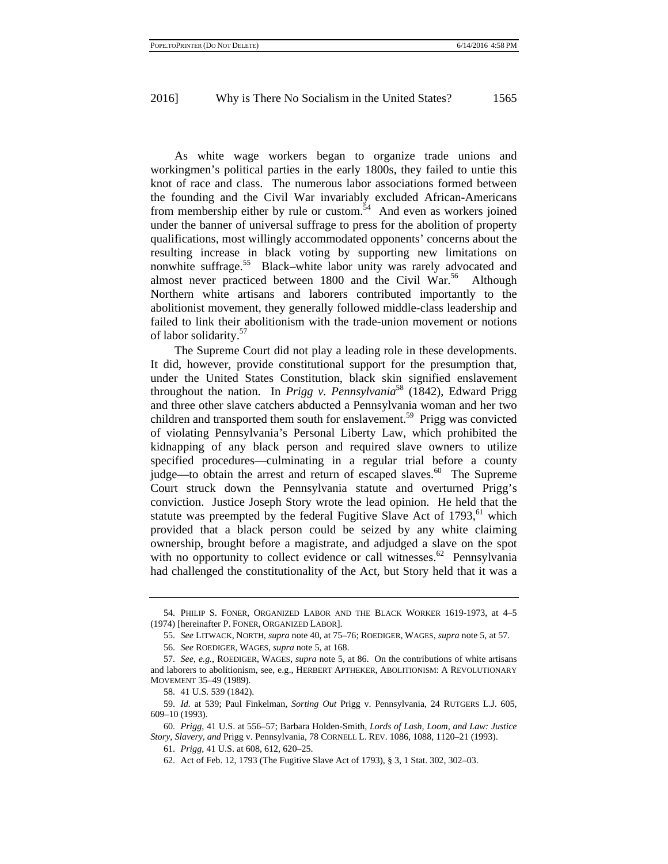As white wage workers began to organize trade unions and workingmen's political parties in the early 1800s, they failed to untie this knot of race and class. The numerous labor associations formed between the founding and the Civil War invariably excluded African-Americans from membership either by rule or custom.<sup>54</sup> And even as workers joined under the banner of universal suffrage to press for the abolition of property qualifications, most willingly accommodated opponents' concerns about the resulting increase in black voting by supporting new limitations on nonwhite suffrage.<sup>55</sup> Black–white labor unity was rarely advocated and almost never practiced between  $1800$  and the Civil War.<sup>56</sup> Although Northern white artisans and laborers contributed importantly to the abolitionist movement, they generally followed middle-class leadership and failed to link their abolitionism with the trade-union movement or notions of labor solidarity.<sup>57</sup>

The Supreme Court did not play a leading role in these developments. It did, however, provide constitutional support for the presumption that, under the United States Constitution, black skin signified enslavement throughout the nation. In *Prigg v. Pennsylvania*<sup>58</sup> (1842), Edward Prigg and three other slave catchers abducted a Pennsylvania woman and her two children and transported them south for enslavement.<sup>59</sup> Prigg was convicted of violating Pennsylvania's Personal Liberty Law, which prohibited the kidnapping of any black person and required slave owners to utilize specified procedures—culminating in a regular trial before a county judge—to obtain the arrest and return of escaped slaves.<sup>60</sup> The Supreme Court struck down the Pennsylvania statute and overturned Prigg's conviction. Justice Joseph Story wrote the lead opinion. He held that the statute was preempted by the federal Fugitive Slave Act of  $1793$ , <sup>61</sup> which provided that a black person could be seized by any white claiming ownership, brought before a magistrate, and adjudged a slave on the spot with no opportunity to collect evidence or call witnesses.<sup>62</sup> Pennsylvania had challenged the constitutionality of the Act, but Story held that it was a

<sup>54.</sup> PHILIP S. FONER, ORGANIZED LABOR AND THE BLACK WORKER 1619-1973, at 4–5 (1974) [hereinafter P. FONER, ORGANIZED LABOR].

<sup>55.</sup> *See* LITWACK, NORTH, *supra* note 40, at 75–76; ROEDIGER, WAGES, *supra* note 5, at 57.

<sup>56.</sup> *See* ROEDIGER, WAGES, *supra* note 5, at 168.

<sup>57.</sup> *See, e.g.*, ROEDIGER, WAGES, *supra* note 5, at 86. On the contributions of white artisans and laborers to abolitionism, see, e.g., HERBERT APTHEKER, ABOLITIONISM: A REVOLUTIONARY MOVEMENT 35–49 (1989).

<sup>58. 41</sup> U.S. 539 (1842).

<sup>59.</sup> *Id.* at 539; Paul Finkelman, *Sorting Out* Prigg v. Pennsylvania, 24 RUTGERS L.J. 605, 609–10 (1993).

<sup>60.</sup> *Prigg*, 41 U.S. at 556–57; Barbara Holden-Smith, *Lords of Lash, Loom, and Law: Justice Story, Slavery, and* Prigg v. Pennsylvania, 78 CORNELL L. REV. 1086, 1088, 1120–21 (1993).

<sup>61.</sup> *Prigg*, 41 U.S. at 608, 612, 620–25.

<sup>62.</sup> Act of Feb. 12, 1793 (The Fugitive Slave Act of 1793), § 3, 1 Stat. 302, 302–03.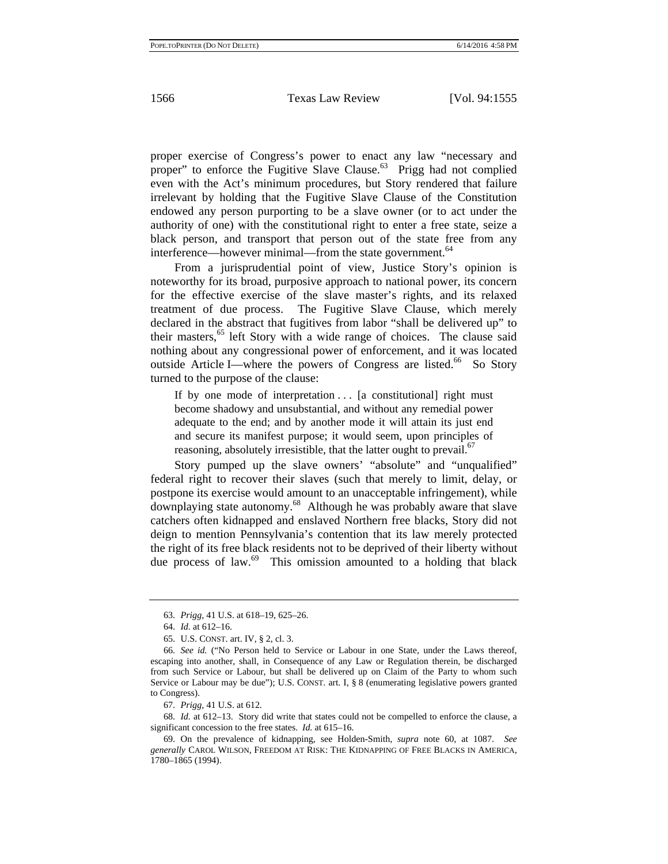proper exercise of Congress's power to enact any law "necessary and proper" to enforce the Fugitive Slave Clause. $^{63}$  Prigg had not complied even with the Act's minimum procedures, but Story rendered that failure irrelevant by holding that the Fugitive Slave Clause of the Constitution endowed any person purporting to be a slave owner (or to act under the authority of one) with the constitutional right to enter a free state, seize a black person, and transport that person out of the state free from any interference—however minimal—from the state government.<sup>64</sup>

From a jurisprudential point of view, Justice Story's opinion is noteworthy for its broad, purposive approach to national power, its concern for the effective exercise of the slave master's rights, and its relaxed treatment of due process. The Fugitive Slave Clause, which merely declared in the abstract that fugitives from labor "shall be delivered up" to their masters,<sup>65</sup> left Story with a wide range of choices. The clause said nothing about any congressional power of enforcement, and it was located outside Article I—where the powers of Congress are listed.<sup>66</sup> So Story turned to the purpose of the clause:

If by one mode of interpretation  $\ldots$  [a constitutional] right must become shadowy and unsubstantial, and without any remedial power adequate to the end; and by another mode it will attain its just end and secure its manifest purpose; it would seem, upon principles of reasoning, absolutely irresistible, that the latter ought to prevail. $67$ 

Story pumped up the slave owners' "absolute" and "unqualified" federal right to recover their slaves (such that merely to limit, delay, or postpone its exercise would amount to an unacceptable infringement), while downplaying state autonomy.68 Although he was probably aware that slave catchers often kidnapped and enslaved Northern free blacks, Story did not deign to mention Pennsylvania's contention that its law merely protected the right of its free black residents not to be deprived of their liberty without due process of law.<sup>69</sup> This omission amounted to a holding that black

<sup>63.</sup> *Prigg*, 41 U.S. at 618–19, 625–26.

<sup>64.</sup> *Id.* at 612–16.

<sup>65.</sup> U.S. CONST. art. IV, § 2, cl. 3.

<sup>66.</sup> *See id.* ("No Person held to Service or Labour in one State, under the Laws thereof, escaping into another, shall, in Consequence of any Law or Regulation therein, be discharged from such Service or Labour, but shall be delivered up on Claim of the Party to whom such Service or Labour may be due"); U.S. CONST. art. I, § 8 (enumerating legislative powers granted to Congress).

<sup>67.</sup> *Prigg*, 41 U.S. at 612.

<sup>68.</sup> *Id.* at 612–13. Story did write that states could not be compelled to enforce the clause, a significant concession to the free states. *Id.* at 615–16.

<sup>69.</sup> On the prevalence of kidnapping, see Holden-Smith, *supra* note 60, at 1087. *See generally* CAROL WILSON, FREEDOM AT RISK: THE KIDNAPPING OF FREE BLACKS IN AMERICA, 1780–1865 (1994).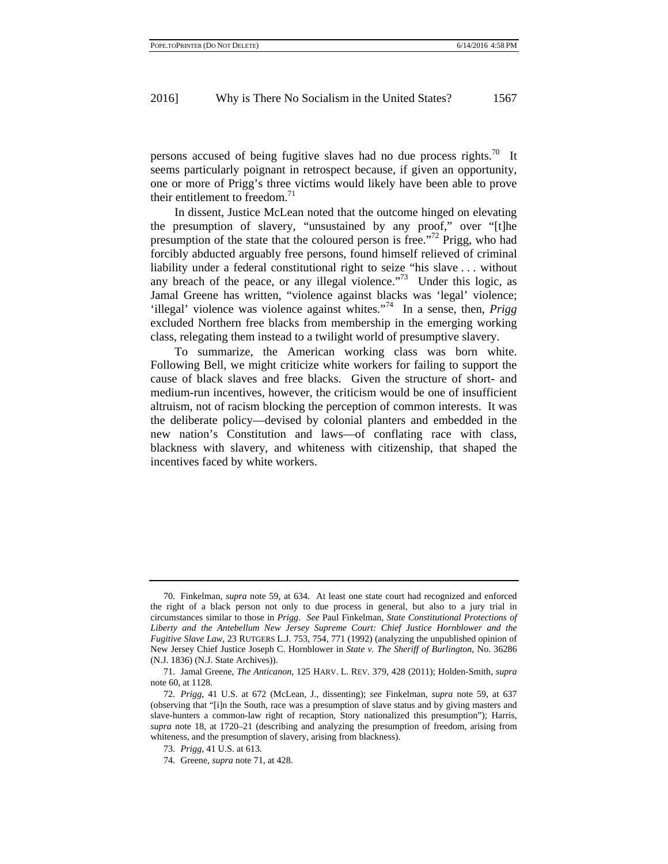persons accused of being fugitive slaves had no due process rights.<sup>70</sup> It seems particularly poignant in retrospect because, if given an opportunity, one or more of Prigg's three victims would likely have been able to prove their entitlement to freedom. $71$ 

In dissent, Justice McLean noted that the outcome hinged on elevating the presumption of slavery, "unsustained by any proof," over "[t]he presumption of the state that the coloured person is free."72 Prigg, who had forcibly abducted arguably free persons, found himself relieved of criminal liability under a federal constitutional right to seize "his slave . . . without any breach of the peace, or any illegal violence. $173$  Under this logic, as Jamal Greene has written, "violence against blacks was 'legal' violence; 'illegal' violence was violence against whites."74 In a sense, then, *Prigg* excluded Northern free blacks from membership in the emerging working class, relegating them instead to a twilight world of presumptive slavery.

To summarize, the American working class was born white. Following Bell, we might criticize white workers for failing to support the cause of black slaves and free blacks. Given the structure of short- and medium-run incentives, however, the criticism would be one of insufficient altruism, not of racism blocking the perception of common interests. It was the deliberate policy—devised by colonial planters and embedded in the new nation's Constitution and laws—of conflating race with class, blackness with slavery, and whiteness with citizenship, that shaped the incentives faced by white workers.

<sup>70.</sup> Finkelman, *supra* note 59, at 634. At least one state court had recognized and enforced the right of a black person not only to due process in general, but also to a jury trial in circumstances similar to those in *Prigg*. *See* Paul Finkelman, *State Constitutional Protections of Liberty and the Antebellum New Jersey Supreme Court: Chief Justice Hornblower and the Fugitive Slave Law*, 23 RUTGERS L.J. 753, 754, 771 (1992) (analyzing the unpublished opinion of New Jersey Chief Justice Joseph C. Hornblower in *State v. The Sheriff of Burlington*, No. 36286 (N.J. 1836) (N.J. State Archives)).

<sup>71.</sup> Jamal Greene, *The Anticanon*, 125 HARV. L. REV. 379, 428 (2011); Holden-Smith, *supra* note 60, at 1128.

<sup>72.</sup> *Prigg*, 41 U.S. at 672 (McLean, J., dissenting); *see* Finkelman, *supra* note 59, at 637 (observing that "[i]n the South, race was a presumption of slave status and by giving masters and slave-hunters a common-law right of recaption, Story nationalized this presumption"); Harris, *supra* note 18, at 1720–21 (describing and analyzing the presumption of freedom, arising from whiteness, and the presumption of slavery, arising from blackness).

<sup>73.</sup> *Prigg*, 41 U.S. at 613.

<sup>74.</sup> Greene, *supra* note 71, at 428.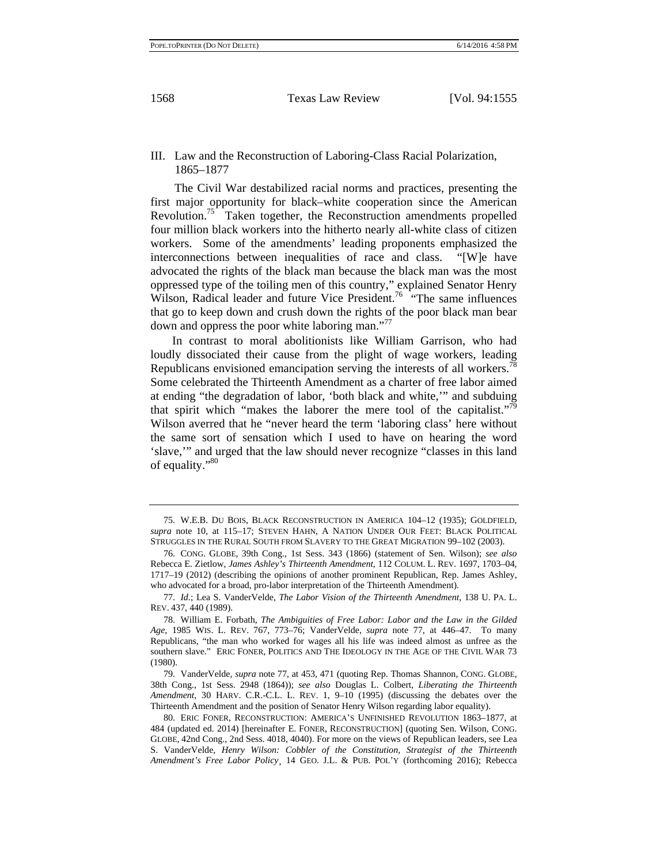#### III. Law and the Reconstruction of Laboring-Class Racial Polarization, 1865–1877

The Civil War destabilized racial norms and practices, presenting the first major opportunity for black–white cooperation since the American Revolution.75 Taken together, the Reconstruction amendments propelled four million black workers into the hitherto nearly all-white class of citizen workers. Some of the amendments' leading proponents emphasized the interconnections between inequalities of race and class. "[W]e have advocated the rights of the black man because the black man was the most oppressed type of the toiling men of this country," explained Senator Henry Wilson, Radical leader and future Vice President.<sup>76</sup> "The same influences" that go to keep down and crush down the rights of the poor black man bear down and oppress the poor white laboring man."

 In contrast to moral abolitionists like William Garrison, who had loudly dissociated their cause from the plight of wage workers, leading Republicans envisioned emancipation serving the interests of all workers.<sup>78</sup> Some celebrated the Thirteenth Amendment as a charter of free labor aimed at ending "the degradation of labor, 'both black and white,'" and subduing that spirit which "makes the laborer the mere tool of the capitalist."<sup>79</sup> Wilson averred that he "never heard the term 'laboring class' here without the same sort of sensation which I used to have on hearing the word 'slave,'" and urged that the law should never recognize "classes in this land of equality."<sup>80</sup>

<sup>75.</sup> W.E.B. DU BOIS, BLACK RECONSTRUCTION IN AMERICA 104–12 (1935); GOLDFIELD, *supra* note 10, at 115–17; STEVEN HAHN, A NATION UNDER OUR FEET: BLACK POLITICAL STRUGGLES IN THE RURAL SOUTH FROM SLAVERY TO THE GREAT MIGRATION 99–102 (2003).

<sup>76.</sup> CONG. GLOBE, 39th Cong., 1st Sess. 343 (1866) (statement of Sen. Wilson); *see also*  Rebecca E. Zietlow, *James Ashley's Thirteenth Amendment*, 112 COLUM. L. REV. 1697, 1703–04, 1717–19 (2012) (describing the opinions of another prominent Republican, Rep. James Ashley, who advocated for a broad, pro-labor interpretation of the Thirteenth Amendment).

<sup>77.</sup> *Id.*; Lea S. VanderVelde, *The Labor Vision of the Thirteenth Amendment*, 138 U. PA. L. REV. 437, 440 (1989).

<sup>78.</sup> William E. Forbath, *The Ambiguities of Free Labor: Labor and the Law in the Gilded Age*, 1985 WIS. L. REV. 767, 773–76; VanderVelde, *supra* note 77, at 446–47. To many Republicans, "the man who worked for wages all his life was indeed almost as unfree as the southern slave." ERIC FONER, POLITICS AND THE IDEOLOGY IN THE AGE OF THE CIVIL WAR 73 (1980).

<sup>79.</sup> VanderVelde, *supra* note 77, at 453, 471 (quoting Rep. Thomas Shannon, CONG. GLOBE, 38th Cong., 1st Sess. 2948 (1864)); *see also* Douglas L. Colbert, *Liberating the Thirteenth Amendment*, 30 HARV. C.R.-C.L. L. REV. 1, 9–10 (1995) (discussing the debates over the Thirteenth Amendment and the position of Senator Henry Wilson regarding labor equality).

<sup>80.</sup> ERIC FONER, RECONSTRUCTION: AMERICA'S UNFINISHED REVOLUTION 1863–1877, at 484 (updated ed. 2014) [hereinafter E. FONER, RECONSTRUCTION] (quoting Sen. Wilson, CONG. GLOBE, 42nd Cong., 2nd Sess. 4018, 4040). For more on the views of Republican leaders, see Lea S. VanderVelde, *Henry Wilson: Cobbler of the Constitution, Strategist of the Thirteenth Amendment's Free Labor Policy*¸ 14 GEO. J.L. & PUB. POL'Y (forthcoming 2016); Rebecca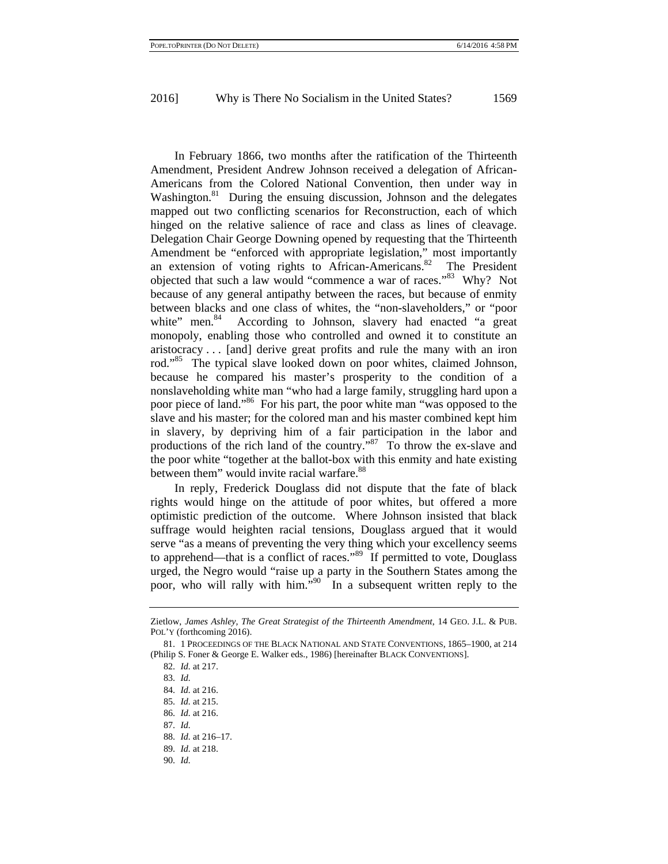In February 1866, two months after the ratification of the Thirteenth Amendment, President Andrew Johnson received a delegation of African-Americans from the Colored National Convention, then under way in Washington.<sup>81</sup> During the ensuing discussion, Johnson and the delegates mapped out two conflicting scenarios for Reconstruction, each of which hinged on the relative salience of race and class as lines of cleavage. Delegation Chair George Downing opened by requesting that the Thirteenth Amendment be "enforced with appropriate legislation," most importantly an extension of voting rights to African-Americans. $82$  The President objected that such a law would "commence a war of races."<sup>83</sup> Why? Not because of any general antipathy between the races, but because of enmity between blacks and one class of whites, the "non-slaveholders," or "poor white" men. $84$  According to Johnson, slavery had enacted "a great monopoly, enabling those who controlled and owned it to constitute an aristocracy . . . [and] derive great profits and rule the many with an iron rod."<sup>85</sup> The typical slave looked down on poor whites, claimed Johnson, because he compared his master's prosperity to the condition of a nonslaveholding white man "who had a large family, struggling hard upon a poor piece of land."86 For his part, the poor white man "was opposed to the slave and his master; for the colored man and his master combined kept him in slavery, by depriving him of a fair participation in the labor and productions of the rich land of the country."87 To throw the ex-slave and the poor white "together at the ballot-box with this enmity and hate existing between them" would invite racial warfare.<sup>88</sup>

In reply, Frederick Douglass did not dispute that the fate of black rights would hinge on the attitude of poor whites, but offered a more optimistic prediction of the outcome. Where Johnson insisted that black suffrage would heighten racial tensions, Douglass argued that it would serve "as a means of preventing the very thing which your excellency seems to apprehend—that is a conflict of races."<sup>89</sup> If permitted to vote, Douglass urged, the Negro would "raise up a party in the Southern States among the poor, who will rally with him."<sup>90</sup> In a subsequent written reply to the

Zietlow, *James Ashley, The Great Strategist of the Thirteenth Amendment*, 14 GEO. J.L. & PUB. POL'Y (forthcoming 2016).

<sup>81. 1</sup> PROCEEDINGS OF THE BLACK NATIONAL AND STATE CONVENTIONS, 1865–1900, at 214 (Philip S. Foner & George E. Walker eds., 1986) [hereinafter BLACK CONVENTIONS].

<sup>82.</sup> *Id.* at 217.

<sup>83.</sup> *Id.*

<sup>84.</sup> *Id.* at 216.

<sup>85.</sup> *Id.* at 215.

<sup>86.</sup> *Id.* at 216.

<sup>87.</sup> *Id.*

<sup>88.</sup> *Id.* at 216–17.

<sup>89.</sup> *Id.* at 218.

<sup>90.</sup> *Id.*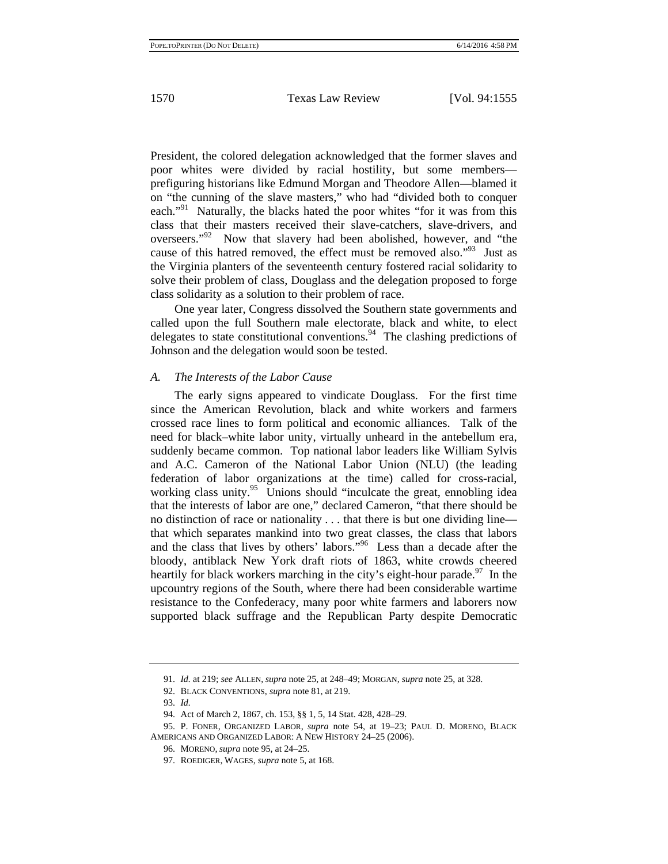President, the colored delegation acknowledged that the former slaves and poor whites were divided by racial hostility, but some members prefiguring historians like Edmund Morgan and Theodore Allen—blamed it on "the cunning of the slave masters," who had "divided both to conquer each."<sup>91</sup> Naturally, the blacks hated the poor whites "for it was from this class that their masters received their slave-catchers, slave-drivers, and overseers."92 Now that slavery had been abolished, however, and "the cause of this hatred removed, the effect must be removed also."93 Just as the Virginia planters of the seventeenth century fostered racial solidarity to solve their problem of class, Douglass and the delegation proposed to forge class solidarity as a solution to their problem of race.

One year later, Congress dissolved the Southern state governments and called upon the full Southern male electorate, black and white, to elect delegates to state constitutional conventions.<sup>94</sup> The clashing predictions of Johnson and the delegation would soon be tested.

#### *A. The Interests of the Labor Cause*

The early signs appeared to vindicate Douglass. For the first time since the American Revolution, black and white workers and farmers crossed race lines to form political and economic alliances. Talk of the need for black–white labor unity, virtually unheard in the antebellum era, suddenly became common. Top national labor leaders like William Sylvis and A.C. Cameron of the National Labor Union (NLU) (the leading federation of labor organizations at the time) called for cross-racial, working class unity.<sup>95</sup> Unions should "inculcate the great, ennobling idea that the interests of labor are one," declared Cameron, "that there should be no distinction of race or nationality . . . that there is but one dividing line that which separates mankind into two great classes, the class that labors and the class that lives by others' labors."96 Less than a decade after the bloody, antiblack New York draft riots of 1863, white crowds cheered heartily for black workers marching in the city's eight-hour parade.<sup>97</sup> In the upcountry regions of the South, where there had been considerable wartime resistance to the Confederacy, many poor white farmers and laborers now supported black suffrage and the Republican Party despite Democratic

<sup>91.</sup> *Id.* at 219; *see* ALLEN, *supra* note 25, at 248–49; MORGAN, *supra* note 25, at 328.

<sup>92.</sup> BLACK CONVENTIONS, *supra* note 81, at 219.

<sup>93.</sup> *Id.*

<sup>94.</sup> Act of March 2, 1867, ch. 153, §§ 1, 5, 14 Stat. 428, 428–29.

<sup>95.</sup> P. FONER, ORGANIZED LABOR, *supra* note 54, at 19–23; PAUL D. MORENO, BLACK AMERICANS AND ORGANIZED LABOR: A NEW HISTORY 24–25 (2006).

<sup>96.</sup> MORENO, *supra* note 95, at 24–25.

<sup>97.</sup> ROEDIGER, WAGES, *supra* note 5, at 168.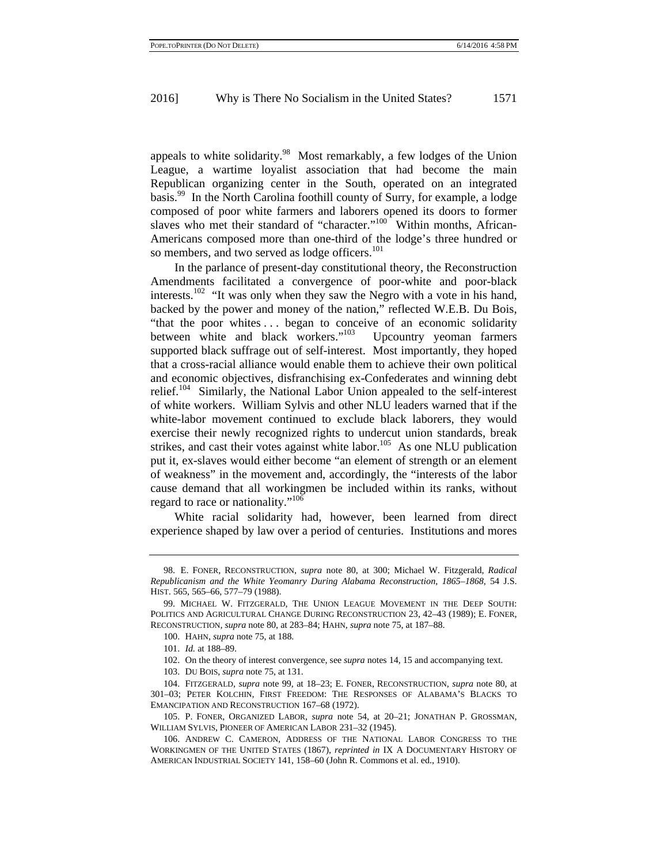appeals to white solidarity.<sup>98</sup> Most remarkably, a few lodges of the Union League, a wartime loyalist association that had become the main Republican organizing center in the South, operated on an integrated basis.99 In the North Carolina foothill county of Surry, for example, a lodge composed of poor white farmers and laborers opened its doors to former slaves who met their standard of "character."<sup>100</sup> Within months, African-Americans composed more than one-third of the lodge's three hundred or so members, and two served as lodge officers.<sup>101</sup>

In the parlance of present-day constitutional theory, the Reconstruction Amendments facilitated a convergence of poor-white and poor-black interests.102 "It was only when they saw the Negro with a vote in his hand, backed by the power and money of the nation," reflected W.E.B. Du Bois, "that the poor whites . . . began to conceive of an economic solidarity between white and black workers."<sup>103</sup> Upcountry yeoman farmers supported black suffrage out of self-interest. Most importantly, they hoped that a cross-racial alliance would enable them to achieve their own political and economic objectives, disfranchising ex-Confederates and winning debt relief.104 Similarly, the National Labor Union appealed to the self-interest of white workers. William Sylvis and other NLU leaders warned that if the white-labor movement continued to exclude black laborers, they would exercise their newly recognized rights to undercut union standards, break strikes, and cast their votes against white labor.<sup>105</sup> As one NLU publication put it, ex-slaves would either become "an element of strength or an element of weakness" in the movement and, accordingly, the "interests of the labor cause demand that all workingmen be included within its ranks, without regard to race or nationality."<sup>106</sup>

White racial solidarity had, however, been learned from direct experience shaped by law over a period of centuries. Institutions and mores

<sup>98.</sup> E. FONER, RECONSTRUCTION, *supra* note 80, at 300; Michael W. Fitzgerald, *Radical Republicanism and the White Yeomanry During Alabama Reconstruction, 1865–1868*, 54 J.S. HIST. 565, 565–66, 577–79 (1988).

<sup>99.</sup> MICHAEL W. FITZGERALD, THE UNION LEAGUE MOVEMENT IN THE DEEP SOUTH: POLITICS AND AGRICULTURAL CHANGE DURING RECONSTRUCTION 23, 42–43 (1989); E. FONER, RECONSTRUCTION, *supra* note 80, at 283–84; HAHN, *supra* note 75, at 187–88.

<sup>100.</sup> HAHN, *supra* note 75, at 188.

<sup>101.</sup> *Id.* at 188–89.

<sup>102.</sup> On the theory of interest convergence, see *supra* notes 14, 15 and accompanying text.

<sup>103.</sup> DU BOIS, *supra* note 75, at 131.

<sup>104.</sup> FITZGERALD, *supra* note 99, at 18–23; E. FONER, RECONSTRUCTION, *supra* note 80, at 301–03; PETER KOLCHIN, FIRST FREEDOM: THE RESPONSES OF ALABAMA'S BLACKS TO EMANCIPATION AND RECONSTRUCTION 167–68 (1972).

<sup>105.</sup> P. FONER, ORGANIZED LABOR, *supra* note 54, at 20–21; JONATHAN P. GROSSMAN, WILLIAM SYLVIS, PIONEER OF AMERICAN LABOR 231–32 (1945).

<sup>106.</sup> ANDREW C. CAMERON, ADDRESS OF THE NATIONAL LABOR CONGRESS TO THE WORKINGMEN OF THE UNITED STATES (1867), *reprinted in* IX A DOCUMENTARY HISTORY OF AMERICAN INDUSTRIAL SOCIETY 141, 158–60 (John R. Commons et al. ed., 1910).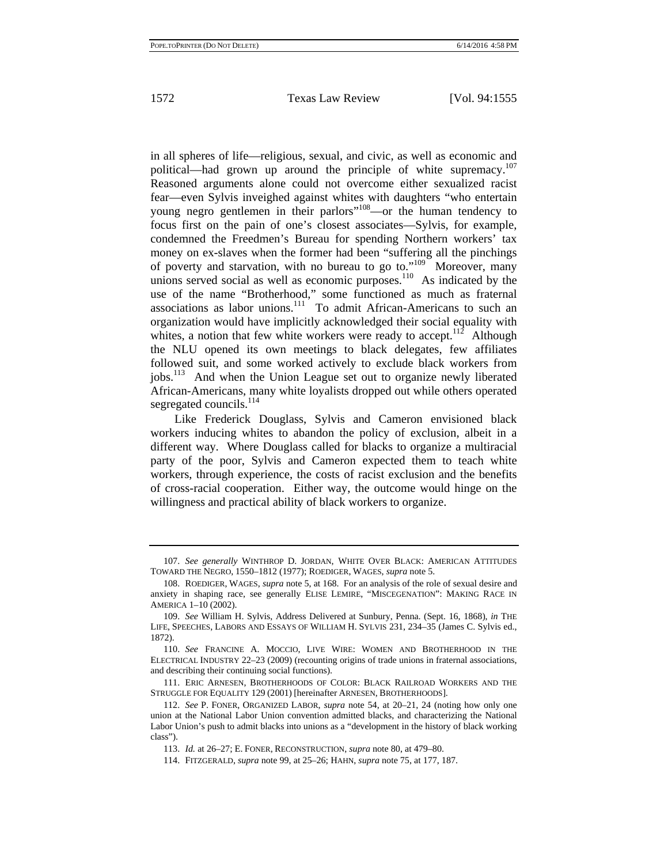in all spheres of life—religious, sexual, and civic, as well as economic and political—had grown up around the principle of white supremacy.<sup>107</sup> Reasoned arguments alone could not overcome either sexualized racist fear—even Sylvis inveighed against whites with daughters "who entertain young negro gentlemen in their parlors"<sup>108</sup>—or the human tendency to focus first on the pain of one's closest associates—Sylvis, for example, condemned the Freedmen's Bureau for spending Northern workers' tax money on ex-slaves when the former had been "suffering all the pinchings of poverty and starvation, with no bureau to go to." $109$  Moreover, many unions served social as well as economic purposes.<sup>110</sup> As indicated by the use of the name "Brotherhood," some functioned as much as fraternal associations as labor unions.<sup>111</sup> To admit African-Americans to such an organization would have implicitly acknowledged their social equality with whites, a notion that few white workers were ready to accept.<sup>112</sup> Although the NLU opened its own meetings to black delegates, few affiliates followed suit, and some worked actively to exclude black workers from jobs.<sup>113</sup> And when the Union League set out to organize newly liberated African-Americans, many white loyalists dropped out while others operated segregated councils.<sup>114</sup>

Like Frederick Douglass, Sylvis and Cameron envisioned black workers inducing whites to abandon the policy of exclusion, albeit in a different way. Where Douglass called for blacks to organize a multiracial party of the poor, Sylvis and Cameron expected them to teach white workers, through experience, the costs of racist exclusion and the benefits of cross-racial cooperation. Either way, the outcome would hinge on the willingness and practical ability of black workers to organize.

<sup>107.</sup> *See generally* WINTHROP D. JORDAN, WHITE OVER BLACK: AMERICAN ATTITUDES TOWARD THE NEGRO, 1550–1812 (1977); ROEDIGER, WAGES, *supra* note 5.

<sup>108.</sup> ROEDIGER, WAGES, *supra* note 5, at 168. For an analysis of the role of sexual desire and anxiety in shaping race, see generally ELISE LEMIRE, "MISCEGENATION": MAKING RACE IN AMERICA 1–10 (2002).

<sup>109.</sup> *See* William H. Sylvis, Address Delivered at Sunbury, Penna. (Sept. 16, 1868), *in* THE LIFE, SPEECHES, LABORS AND ESSAYS OF WILLIAM H. SYLVIS 231, 234–35 (James C. Sylvis ed., 1872).

<sup>110.</sup> *See* FRANCINE A. MOCCIO, LIVE WIRE: WOMEN AND BROTHERHOOD IN THE ELECTRICAL INDUSTRY 22–23 (2009) (recounting origins of trade unions in fraternal associations, and describing their continuing social functions).

<sup>111.</sup> ERIC ARNESEN, BROTHERHOODS OF COLOR: BLACK RAILROAD WORKERS AND THE STRUGGLE FOR EQUALITY 129 (2001) [hereinafter ARNESEN, BROTHERHOODS].

<sup>112.</sup> *See* P. FONER, ORGANIZED LABOR, *supra* note 54, at 20–21, 24 (noting how only one union at the National Labor Union convention admitted blacks, and characterizing the National Labor Union's push to admit blacks into unions as a "development in the history of black working class").

<sup>113.</sup> *Id.* at 26–27; E. FONER, RECONSTRUCTION, *supra* note 80, at 479–80.

<sup>114.</sup> FITZGERALD, *supra* note 99, at 25–26; HAHN, *supra* note 75, at 177, 187.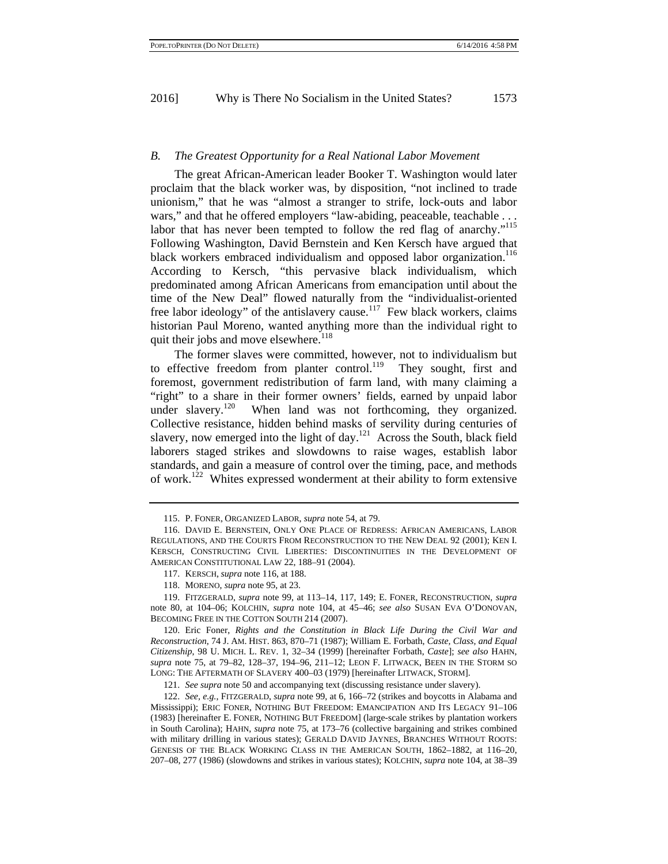#### *B. The Greatest Opportunity for a Real National Labor Movement*

The great African-American leader Booker T. Washington would later proclaim that the black worker was, by disposition, "not inclined to trade unionism," that he was "almost a stranger to strife, lock-outs and labor wars," and that he offered employers "law-abiding, peaceable, teachable . . . labor that has never been tempted to follow the red flag of anarchy."<sup>115</sup> Following Washington, David Bernstein and Ken Kersch have argued that black workers embraced individualism and opposed labor organization.<sup>116</sup> According to Kersch, "this pervasive black individualism, which predominated among African Americans from emancipation until about the time of the New Deal" flowed naturally from the "individualist-oriented free labor ideology" of the antislavery cause.<sup>117</sup> Few black workers, claims historian Paul Moreno, wanted anything more than the individual right to quit their jobs and move elsewhere.<sup>118</sup>

The former slaves were committed, however, not to individualism but to effective freedom from planter control.<sup>119</sup> They sought, first and foremost, government redistribution of farm land, with many claiming a "right" to a share in their former owners' fields, earned by unpaid labor under slavery.<sup>120</sup> When land was not forthcoming, they organized. Collective resistance, hidden behind masks of servility during centuries of slavery, now emerged into the light of day. $121$  Across the South, black field laborers staged strikes and slowdowns to raise wages, establish labor standards, and gain a measure of control over the timing, pace, and methods of work.122 Whites expressed wonderment at their ability to form extensive

119. FITZGERALD, *supra* note 99, at 113–14, 117, 149; E. FONER, RECONSTRUCTION, *supra* note 80, at 104–06; KOLCHIN, *supra* note 104, at 45–46; *see also* SUSAN EVA O'DONOVAN, BECOMING FREE IN THE COTTON SOUTH 214 (2007).

120. Eric Foner, *Rights and the Constitution in Black Life During the Civil War and Reconstruction*, 74 J. AM. HIST. 863, 870–71 (1987); William E. Forbath, *Caste, Class, and Equal Citizenship*, 98 U. MICH. L. REV. 1, 32–34 (1999) [hereinafter Forbath, *Caste*]; *see also* HAHN, *supra* note 75, at 79–82, 128–37, 194–96, 211–12; LEON F. LITWACK, BEEN IN THE STORM SO LONG: THE AFTERMATH OF SLAVERY 400–03 (1979) [hereinafter LITWACK, STORM].

121. *See supra* note 50 and accompanying text (discussing resistance under slavery).

122. *See, e.g.*, FITZGERALD, *supra* note 99, at 6, 166–72 (strikes and boycotts in Alabama and Mississippi); ERIC FONER, NOTHING BUT FREEDOM: EMANCIPATION AND ITS LEGACY 91–106 (1983) [hereinafter E. FONER, NOTHING BUT FREEDOM] (large-scale strikes by plantation workers in South Carolina); HAHN, *supra* note 75, at 173–76 (collective bargaining and strikes combined with military drilling in various states); GERALD DAVID JAYNES, BRANCHES WITHOUT ROOTS: GENESIS OF THE BLACK WORKING CLASS IN THE AMERICAN SOUTH, 1862–1882, at 116–20, 207–08, 277 (1986) (slowdowns and strikes in various states); KOLCHIN, *supra* note 104, at 38–39

<sup>115.</sup> P. FONER, ORGANIZED LABOR, *supra* note 54, at 79.

<sup>116.</sup> DAVID E. BERNSTEIN, ONLY ONE PLACE OF REDRESS: AFRICAN AMERICANS, LABOR REGULATIONS, AND THE COURTS FROM RECONSTRUCTION TO THE NEW DEAL 92 (2001); KEN I. KERSCH, CONSTRUCTING CIVIL LIBERTIES: DISCONTINUITIES IN THE DEVELOPMENT OF AMERICAN CONSTITUTIONAL LAW 22, 188–91 (2004).

<sup>117.</sup> KERSCH, *supra* note 116, at 188.

<sup>118.</sup> MORENO, *supra* note 95, at 23.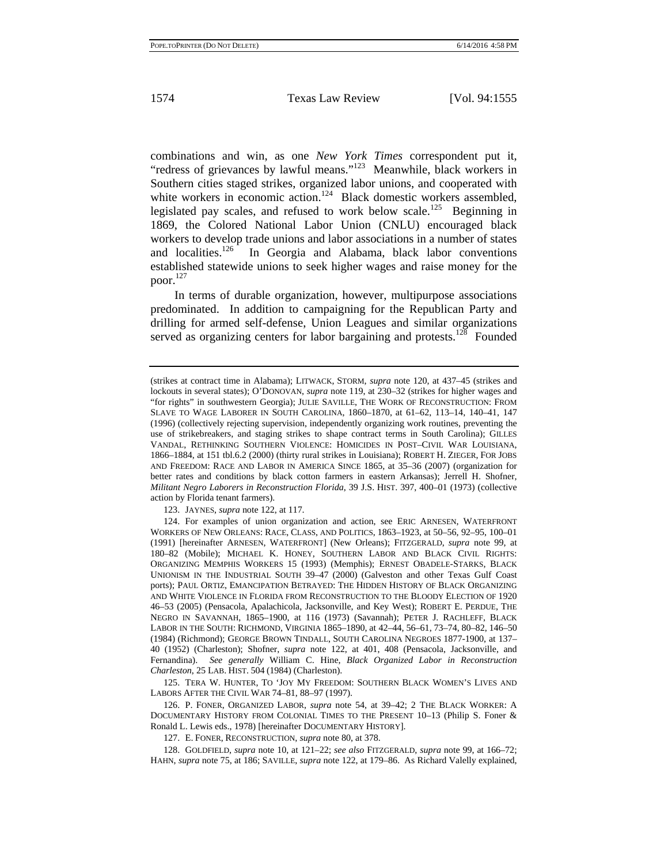combinations and win, as one *New York Times* correspondent put it, "redress of grievances by lawful means."123 Meanwhile, black workers in Southern cities staged strikes, organized labor unions, and cooperated with white workers in economic action.<sup>124</sup> Black domestic workers assembled, legislated pay scales, and refused to work below scale.<sup>125</sup> Beginning in 1869, the Colored National Labor Union (CNLU) encouraged black workers to develop trade unions and labor associations in a number of states and localities.<sup>126</sup> In Georgia and Alabama, black labor conventions established statewide unions to seek higher wages and raise money for the poor.<sup>127</sup>

In terms of durable organization, however, multipurpose associations predominated. In addition to campaigning for the Republican Party and drilling for armed self-defense, Union Leagues and similar organizations served as organizing centers for labor bargaining and protests.<sup>128</sup> Founded

123. JAYNES, *supra* note 122, at 117.

125. TERA W. HUNTER, TO 'JOY MY FREEDOM: SOUTHERN BLACK WOMEN'S LIVES AND LABORS AFTER THE CIVIL WAR 74–81, 88–97 (1997).

126. P. FONER, ORGANIZED LABOR, *supra* note 54, at 39–42; 2 THE BLACK WORKER: A DOCUMENTARY HISTORY FROM COLONIAL TIMES TO THE PRESENT 10–13 (Philip S. Foner & Ronald L. Lewis eds., 1978) [hereinafter DOCUMENTARY HISTORY].

127. E. FONER, RECONSTRUCTION, *supra* note 80, at 378.

128. GOLDFIELD, *supra* note 10, at 121–22; *see also* FITZGERALD, *supra* note 99, at 166–72; HAHN, *supra* note 75, at 186; SAVILLE, *supra* note 122, at 179–86. As Richard Valelly explained,

<sup>(</sup>strikes at contract time in Alabama); LITWACK, STORM, *supra* note 120, at 437–45 (strikes and lockouts in several states); O'DONOVAN, *supra* note 119, at 230–32 (strikes for higher wages and "for rights" in southwestern Georgia); JULIE SAVILLE, THE WORK OF RECONSTRUCTION: FROM SLAVE TO WAGE LABORER IN SOUTH CAROLINA, 1860–1870, at 61–62, 113–14, 140–41, 147 (1996) (collectively rejecting supervision, independently organizing work routines, preventing the use of strikebreakers, and staging strikes to shape contract terms in South Carolina); GILLES VANDAL, RETHINKING SOUTHERN VIOLENCE: HOMICIDES IN POST–CIVIL WAR LOUISIANA, 1866–1884, at 151 tbl.6.2 (2000) (thirty rural strikes in Louisiana); ROBERT H. ZIEGER, FOR JOBS AND FREEDOM: RACE AND LABOR IN AMERICA SINCE 1865, at 35–36 (2007) (organization for better rates and conditions by black cotton farmers in eastern Arkansas); Jerrell H. Shofner, *Militant Negro Laborers in Reconstruction Florida*, 39 J.S. HIST. 397, 400–01 (1973) (collective action by Florida tenant farmers).

<sup>124.</sup> For examples of union organization and action, see ERIC ARNESEN, WATERFRONT WORKERS OF NEW ORLEANS: RACE, CLASS, AND POLITICS, 1863–1923, at 50–56, 92–95, 100–01 (1991) [hereinafter ARNESEN, WATERFRONT] (New Orleans); FITZGERALD, *supra* note 99, at 180–82 (Mobile); MICHAEL K. HONEY, SOUTHERN LABOR AND BLACK CIVIL RIGHTS: ORGANIZING MEMPHIS WORKERS 15 (1993) (Memphis); ERNEST OBADELE-STARKS, BLACK UNIONISM IN THE INDUSTRIAL SOUTH 39–47 (2000) (Galveston and other Texas Gulf Coast ports); PAUL ORTIZ, EMANCIPATION BETRAYED: THE HIDDEN HISTORY OF BLACK ORGANIZING AND WHITE VIOLENCE IN FLORIDA FROM RECONSTRUCTION TO THE BLOODY ELECTION OF 1920 46–53 (2005) (Pensacola, Apalachicola, Jacksonville, and Key West); ROBERT E. PERDUE, THE NEGRO IN SAVANNAH, 1865–1900, at 116 (1973) (Savannah); PETER J. RACHLEFF, BLACK LABOR IN THE SOUTH: RICHMOND, VIRGINIA 1865–1890, at 42–44, 56–61, 73–74, 80–82, 146–50 (1984) (Richmond); GEORGE BROWN TINDALL, SOUTH CAROLINA NEGROES 1877-1900, at 137– 40 (1952) (Charleston); Shofner, *supra* note 122, at 401, 408 (Pensacola, Jacksonville, and Fernandina). *See generally* William C. Hine, *Black Organized Labor in Reconstruction Charleston*, 25 LAB. HIST. 504 (1984) (Charleston).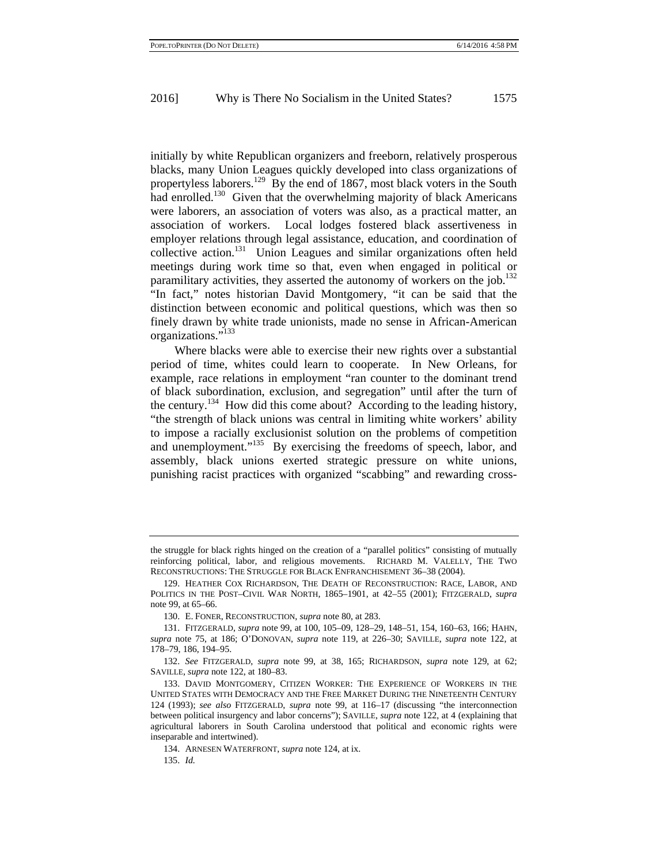initially by white Republican organizers and freeborn, relatively prosperous blacks, many Union Leagues quickly developed into class organizations of propertyless laborers.<sup>129</sup> By the end of 1867, most black voters in the South had enrolled.<sup>130</sup> Given that the overwhelming majority of black Americans were laborers, an association of voters was also, as a practical matter, an association of workers. Local lodges fostered black assertiveness in employer relations through legal assistance, education, and coordination of collective action.131 Union Leagues and similar organizations often held meetings during work time so that, even when engaged in political or paramilitary activities, they asserted the autonomy of workers on the job.<sup>132</sup> "In fact," notes historian David Montgomery, "it can be said that the distinction between economic and political questions, which was then so finely drawn by white trade unionists, made no sense in African-American organizations."133

Where blacks were able to exercise their new rights over a substantial period of time, whites could learn to cooperate. In New Orleans, for example, race relations in employment "ran counter to the dominant trend of black subordination, exclusion, and segregation" until after the turn of the century.<sup>134</sup> How did this come about? According to the leading history, "the strength of black unions was central in limiting white workers' ability to impose a racially exclusionist solution on the problems of competition and unemployment."<sup>135</sup> By exercising the freedoms of speech, labor, and assembly, black unions exerted strategic pressure on white unions, punishing racist practices with organized "scabbing" and rewarding cross-

the struggle for black rights hinged on the creation of a "parallel politics" consisting of mutually reinforcing political, labor, and religious movements. RICHARD M. VALELLY, THE TWO RECONSTRUCTIONS: THE STRUGGLE FOR BLACK ENFRANCHISEMENT 36–38 (2004).

<sup>129.</sup> HEATHER COX RICHARDSON, THE DEATH OF RECONSTRUCTION: RACE, LABOR, AND POLITICS IN THE POST–CIVIL WAR NORTH, 1865–1901, at 42–55 (2001); FITZGERALD, *supra* note 99, at 65–66.

<sup>130.</sup> E. FONER, RECONSTRUCTION, *supra* note 80, at 283.

<sup>131.</sup> FITZGERALD, *supra* note 99, at 100, 105–09, 128–29, 148–51, 154, 160–63, 166; HAHN, *supra* note 75, at 186; O'DONOVAN, *supra* note 119, at 226–30; SAVILLE, *supra* note 122, at 178–79, 186, 194–95.

<sup>132.</sup> *See* FITZGERALD, *supra* note 99, at 38, 165; RICHARDSON, *supra* note 129, at 62; SAVILLE, *supra* note 122, at 180–83.

<sup>133.</sup> DAVID MONTGOMERY, CITIZEN WORKER: THE EXPERIENCE OF WORKERS IN THE UNITED STATES WITH DEMOCRACY AND THE FREE MARKET DURING THE NINETEENTH CENTURY 124 (1993); *see also* FITZGERALD, *supra* note 99, at 116–17 (discussing "the interconnection between political insurgency and labor concerns"); SAVILLE, *supra* note 122, at 4 (explaining that agricultural laborers in South Carolina understood that political and economic rights were inseparable and intertwined).

<sup>134.</sup> ARNESEN WATERFRONT, *supra* note 124, at ix.

<sup>135.</sup> *Id.*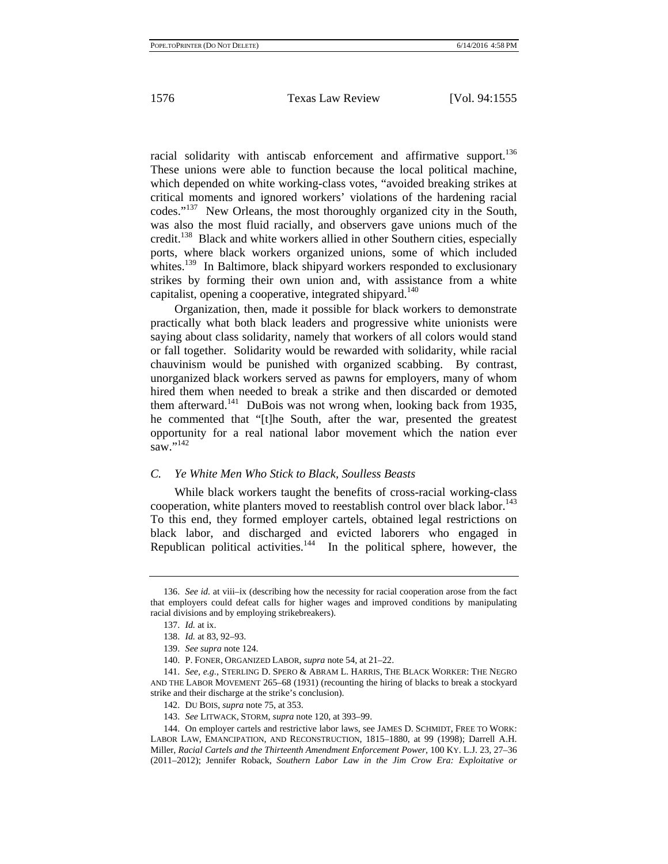racial solidarity with antiscab enforcement and affirmative support.<sup>136</sup> These unions were able to function because the local political machine, which depended on white working-class votes, "avoided breaking strikes at critical moments and ignored workers' violations of the hardening racial codes."137 New Orleans, the most thoroughly organized city in the South, was also the most fluid racially, and observers gave unions much of the credit.138 Black and white workers allied in other Southern cities, especially ports, where black workers organized unions, some of which included whites.<sup>139</sup> In Baltimore, black shipyard workers responded to exclusionary strikes by forming their own union and, with assistance from a white capitalist, opening a cooperative, integrated shipyard.<sup>140</sup>

Organization, then, made it possible for black workers to demonstrate practically what both black leaders and progressive white unionists were saying about class solidarity, namely that workers of all colors would stand or fall together. Solidarity would be rewarded with solidarity, while racial chauvinism would be punished with organized scabbing. By contrast, unorganized black workers served as pawns for employers, many of whom hired them when needed to break a strike and then discarded or demoted them afterward.<sup>141</sup> DuBois was not wrong when, looking back from 1935, he commented that "[t]he South, after the war, presented the greatest opportunity for a real national labor movement which the nation ever  $\sum_{saw}$ ,  $\frac{142}{saw}$ 

### *C. Ye White Men Who Stick to Black, Soulless Beasts*

While black workers taught the benefits of cross-racial working-class cooperation, white planters moved to reestablish control over black labor.<sup>143</sup> To this end, they formed employer cartels, obtained legal restrictions on black labor, and discharged and evicted laborers who engaged in Republican political activities. $144$  In the political sphere, however, the

<sup>136.</sup> *See id.* at viii–ix (describing how the necessity for racial cooperation arose from the fact that employers could defeat calls for higher wages and improved conditions by manipulating racial divisions and by employing strikebreakers).

<sup>137.</sup> *Id.* at ix.

<sup>138.</sup> *Id.* at 83, 92–93.

<sup>139.</sup> *See supra* note 124.

<sup>140.</sup> P. FONER, ORGANIZED LABOR, *supra* note 54, at 21–22.

<sup>141.</sup> *See, e.g.*, STERLING D. SPERO & ABRAM L. HARRIS, THE BLACK WORKER: THE NEGRO AND THE LABOR MOVEMENT 265–68 (1931) (recounting the hiring of blacks to break a stockyard strike and their discharge at the strike's conclusion).

<sup>142.</sup> DU BOIS, *supra* note 75, at 353.

<sup>143.</sup> *See* LITWACK, STORM, *supra* note 120, at 393–99.

<sup>144.</sup> On employer cartels and restrictive labor laws, see JAMES D. SCHMIDT, FREE TO WORK: LABOR LAW, EMANCIPATION, AND RECONSTRUCTION, 1815–1880, at 99 (1998); Darrell A.H. Miller, *Racial Cartels and the Thirteenth Amendment Enforcement Power*, 100 KY. L.J. 23, 27–36 (2011–2012); Jennifer Roback, *Southern Labor Law in the Jim Crow Era: Exploitative or*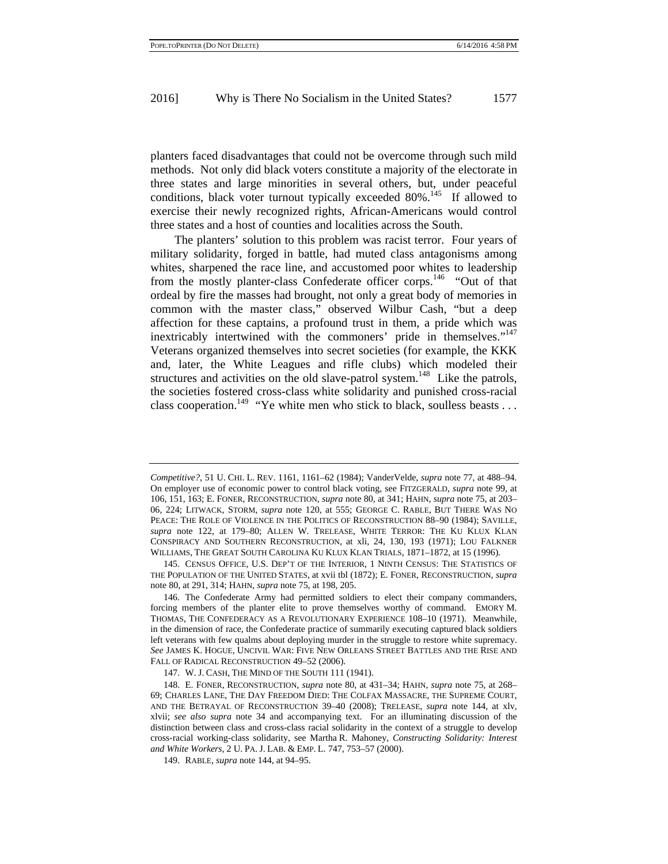planters faced disadvantages that could not be overcome through such mild methods. Not only did black voters constitute a majority of the electorate in three states and large minorities in several others, but, under peaceful conditions, black voter turnout typically exceeded  $80\%$ .<sup>145</sup> If allowed to exercise their newly recognized rights, African-Americans would control three states and a host of counties and localities across the South.

The planters' solution to this problem was racist terror. Four years of military solidarity, forged in battle, had muted class antagonisms among whites, sharpened the race line, and accustomed poor whites to leadership from the mostly planter-class Confederate officer corps.<sup>146</sup> "Out of that ordeal by fire the masses had brought, not only a great body of memories in common with the master class," observed Wilbur Cash, "but a deep affection for these captains, a profound trust in them, a pride which was inextricably intertwined with the commoners' pride in themselves."<sup>147</sup> Veterans organized themselves into secret societies (for example, the KKK and, later, the White Leagues and rifle clubs) which modeled their structures and activities on the old slave-patrol system.<sup>148</sup> Like the patrols, the societies fostered cross-class white solidarity and punished cross-racial class cooperation.<sup>149</sup> "Ye white men who stick to black, soulless beasts . . .

*Competitive?*, 51 U. CHI. L. REV. 1161, 1161–62 (1984); VanderVelde, *supra* note 77, at 488–94. On employer use of economic power to control black voting, see FITZGERALD, *supra* note 99, at 106, 151, 163; E. FONER, RECONSTRUCTION, *supra* note 80, at 341; HAHN, *supra* note 75, at 203– 06, 224; LITWACK, STORM, *supra* note 120, at 555; GEORGE C. RABLE, BUT THERE WAS NO PEACE: THE ROLE OF VIOLENCE IN THE POLITICS OF RECONSTRUCTION 88–90 (1984); SAVILLE, *supra* note 122, at 179–80; ALLEN W. TRELEASE, WHITE TERROR: THE KU KLUX KLAN CONSPIRACY AND SOUTHERN RECONSTRUCTION, at xli, 24, 130, 193 (1971); LOU FALKNER WILLIAMS, THE GREAT SOUTH CAROLINA KU KLUX KLAN TRIALS, 1871–1872, at 15 (1996).

<sup>145.</sup> CENSUS OFFICE, U.S. DEP'T OF THE INTERIOR, 1 NINTH CENSUS: THE STATISTICS OF THE POPULATION OF THE UNITED STATES, at xvii tbl (1872); E. FONER, RECONSTRUCTION, *supra* note 80, at 291, 314; HAHN, *supra* note 75, at 198, 205.

<sup>146.</sup> The Confederate Army had permitted soldiers to elect their company commanders, forcing members of the planter elite to prove themselves worthy of command. EMORY M. THOMAS, THE CONFEDERACY AS A REVOLUTIONARY EXPERIENCE 108–10 (1971). Meanwhile, in the dimension of race, the Confederate practice of summarily executing captured black soldiers left veterans with few qualms about deploying murder in the struggle to restore white supremacy. *See* JAMES K. HOGUE, UNCIVIL WAR: FIVE NEW ORLEANS STREET BATTLES AND THE RISE AND FALL OF RADICAL RECONSTRUCTION 49–52 (2006).

<sup>147.</sup> W. J. CASH, THE MIND OF THE SOUTH 111 (1941).

<sup>148.</sup> E. FONER, RECONSTRUCTION, *supra* note 80, at 431–34; HAHN, *supra* note 75, at 268– 69; CHARLES LANE, THE DAY FREEDOM DIED: THE COLFAX MASSACRE, THE SUPREME COURT, AND THE BETRAYAL OF RECONSTRUCTION 39–40 (2008); TRELEASE, *supra* note 144, at xlv, xlvii; *see also supra* note 34 and accompanying text. For an illuminating discussion of the distinction between class and cross-class racial solidarity in the context of a struggle to develop cross-racial working-class solidarity, see Martha R. Mahoney, *Constructing Solidarity: Interest and White Workers*, 2 U. PA. J. LAB. & EMP. L. 747, 753–57 (2000).

<sup>149.</sup> RABLE, *supra* note 144, at 94–95.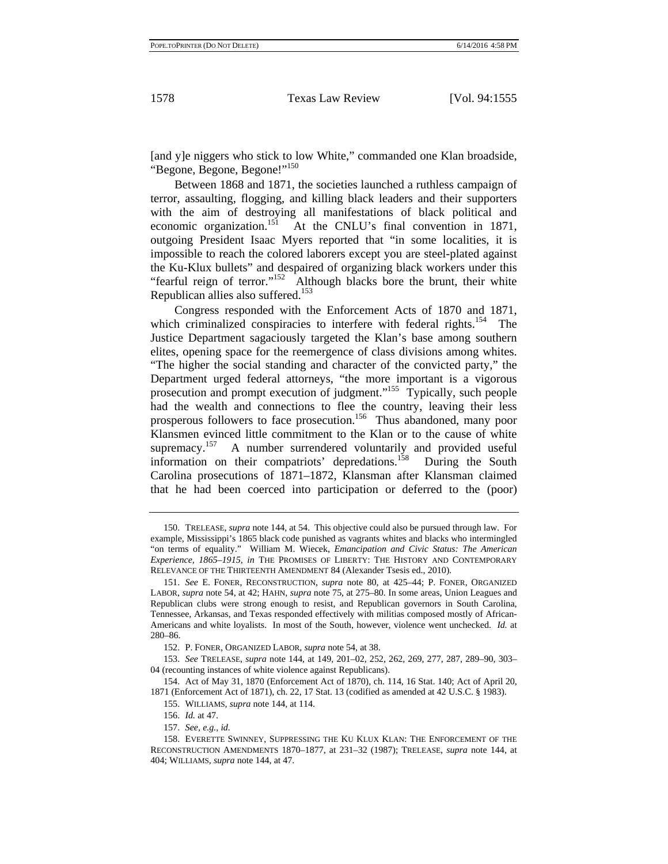[and y]e niggers who stick to low White," commanded one Klan broadside, "Begone, Begone, Begone!"<sup>150</sup>

Between 1868 and 1871, the societies launched a ruthless campaign of terror, assaulting, flogging, and killing black leaders and their supporters with the aim of destroying all manifestations of black political and economic organization.151 At the CNLU's final convention in 1871, outgoing President Isaac Myers reported that "in some localities, it is impossible to reach the colored laborers except you are steel-plated against the Ku-Klux bullets" and despaired of organizing black workers under this "fearful reign of terror."<sup>152</sup> Although blacks bore the brunt, their white Republican allies also suffered.<sup>153</sup>

Congress responded with the Enforcement Acts of 1870 and 1871, which criminalized conspiracies to interfere with federal rights.<sup>154</sup> The Justice Department sagaciously targeted the Klan's base among southern elites, opening space for the reemergence of class divisions among whites. "The higher the social standing and character of the convicted party," the Department urged federal attorneys, "the more important is a vigorous prosecution and prompt execution of judgment."155 Typically, such people had the wealth and connections to flee the country, leaving their less prosperous followers to face prosecution.<sup>156</sup> Thus abandoned, many poor Klansmen evinced little commitment to the Klan or to the cause of white supremacy.<sup>157</sup> A number surrendered voluntarily and provided useful information on their compatriots' depredations.158 During the South Carolina prosecutions of 1871–1872, Klansman after Klansman claimed that he had been coerced into participation or deferred to the (poor)

<sup>150.</sup> TRELEASE, *supra* note 144, at 54. This objective could also be pursued through law. For example, Mississippi's 1865 black code punished as vagrants whites and blacks who intermingled "on terms of equality." William M. Wiecek, *Emancipation and Civic Status: The American Experience, 1865–1915*, *in* THE PROMISES OF LIBERTY: THE HISTORY AND CONTEMPORARY RELEVANCE OF THE THIRTEENTH AMENDMENT 84 (Alexander Tsesis ed., 2010).

<sup>151.</sup> *See* E. FONER, RECONSTRUCTION, *supra* note 80, at 425–44; P. FONER, ORGANIZED LABOR, *supra* note 54, at 42; HAHN, *supra* note 75, at 275–80. In some areas, Union Leagues and Republican clubs were strong enough to resist, and Republican governors in South Carolina, Tennessee, Arkansas, and Texas responded effectively with militias composed mostly of African-Americans and white loyalists. In most of the South, however, violence went unchecked. *Id.* at 280–86.

<sup>152.</sup> P. FONER, ORGANIZED LABOR, *supra* note 54, at 38.

<sup>153.</sup> *See* TRELEASE, *supra* note 144, at 149, 201–02, 252, 262, 269, 277, 287, 289–90, 303– 04 (recounting instances of white violence against Republicans).

<sup>154.</sup> Act of May 31, 1870 (Enforcement Act of 1870), ch. 114, 16 Stat. 140; Act of April 20, 1871 (Enforcement Act of 1871), ch. 22, 17 Stat. 13 (codified as amended at 42 U.S.C. § 1983).

<sup>155.</sup> WILLIAMS, *supra* note 144, at 114.

<sup>156.</sup> *Id.* at 47.

<sup>157.</sup> *See, e.g.*, *id.*

<sup>158.</sup> EVERETTE SWINNEY, SUPPRESSING THE KU KLUX KLAN: THE ENFORCEMENT OF THE RECONSTRUCTION AMENDMENTS 1870–1877, at 231–32 (1987); TRELEASE, *supra* note 144, at 404; WILLIAMS, *supra* note 144, at 47.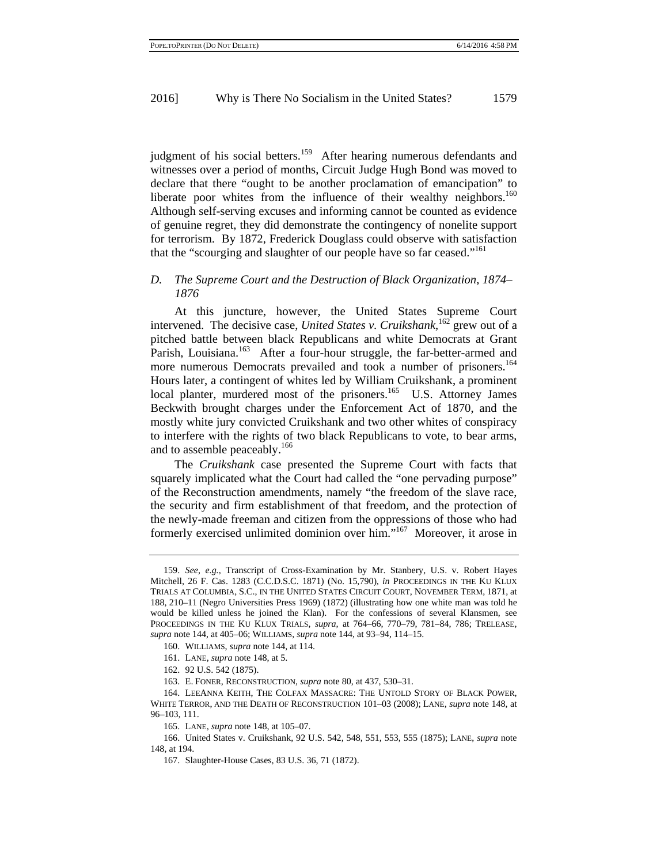judgment of his social betters.<sup>159</sup> After hearing numerous defendants and witnesses over a period of months, Circuit Judge Hugh Bond was moved to declare that there "ought to be another proclamation of emancipation" to liberate poor whites from the influence of their wealthy neighbors.<sup>160</sup> Although self-serving excuses and informing cannot be counted as evidence of genuine regret, they did demonstrate the contingency of nonelite support for terrorism. By 1872, Frederick Douglass could observe with satisfaction that the "scourging and slaughter of our people have so far ceased."<sup>161</sup>

#### *D. The Supreme Court and the Destruction of Black Organization, 1874– 1876*

At this juncture, however, the United States Supreme Court intervened. The decisive case, *United States v. Cruikshank*, 162 grew out of a pitched battle between black Republicans and white Democrats at Grant Parish, Louisiana.<sup>163</sup> After a four-hour struggle, the far-better-armed and more numerous Democrats prevailed and took a number of prisoners.<sup>164</sup> Hours later, a contingent of whites led by William Cruikshank, a prominent local planter, murdered most of the prisoners.<sup>165</sup> U.S. Attorney James Beckwith brought charges under the Enforcement Act of 1870, and the mostly white jury convicted Cruikshank and two other whites of conspiracy to interfere with the rights of two black Republicans to vote, to bear arms, and to assemble peaceably.166

The *Cruikshank* case presented the Supreme Court with facts that squarely implicated what the Court had called the "one pervading purpose" of the Reconstruction amendments, namely "the freedom of the slave race, the security and firm establishment of that freedom, and the protection of the newly-made freeman and citizen from the oppressions of those who had formerly exercised unlimited dominion over him."167 Moreover, it arose in

<sup>159.</sup> *See, e.g.*, Transcript of Cross-Examination by Mr. Stanbery, U.S. v. Robert Hayes Mitchell, 26 F. Cas. 1283 (C.C.D.S.C. 1871) (No. 15,790), *in* PROCEEDINGS IN THE KU KLUX TRIALS AT COLUMBIA, S.C., IN THE UNITED STATES CIRCUIT COURT, NOVEMBER TERM, 1871, at 188, 210–11 (Negro Universities Press 1969) (1872) (illustrating how one white man was told he would be killed unless he joined the Klan). For the confessions of several Klansmen, see PROCEEDINGS IN THE KU KLUX TRIALS, *supra*, at 764–66, 770–79, 781–84, 786; TRELEASE, *supra* note 144, at 405–06; WILLIAMS, *supra* note 144, at 93–94, 114–15.

<sup>160.</sup> WILLIAMS, *supra* note 144, at 114.

<sup>161.</sup> LANE, *supra* note 148, at 5.

<sup>162. 92</sup> U.S. 542 (1875).

<sup>163.</sup> E. FONER, RECONSTRUCTION, *supra* note 80, at 437, 530–31.

<sup>164.</sup> LEEANNA KEITH, THE COLFAX MASSACRE: THE UNTOLD STORY OF BLACK POWER, WHITE TERROR, AND THE DEATH OF RECONSTRUCTION 101–03 (2008); LANE, *supra* note 148, at 96–103, 111.

<sup>165.</sup> LANE, *supra* note 148, at 105–07.

<sup>166.</sup> United States v. Cruikshank, 92 U.S. 542, 548, 551, 553, 555 (1875); LANE, *supra* note 148, at 194.

<sup>167.</sup> Slaughter-House Cases, 83 U.S. 36, 71 (1872).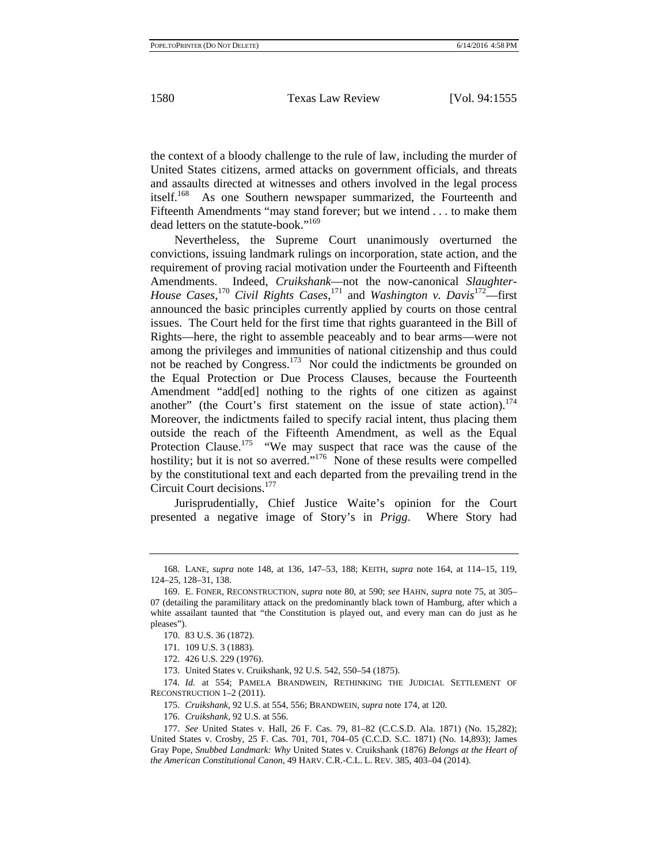the context of a bloody challenge to the rule of law, including the murder of United States citizens, armed attacks on government officials, and threats and assaults directed at witnesses and others involved in the legal process itself.<sup>168</sup> As one Southern newspaper summarized, the Fourteenth and Fifteenth Amendments "may stand forever; but we intend . . . to make them dead letters on the statute-book."<sup>169</sup>

Nevertheless, the Supreme Court unanimously overturned the convictions, issuing landmark rulings on incorporation, state action, and the requirement of proving racial motivation under the Fourteenth and Fifteenth Amendments. Indeed, *Cruikshank*—not the now-canonical *Slaughter-House Cases*, <sup>170</sup> *Civil Rights Cases*, 171 and *Washington v. Davis*172—first announced the basic principles currently applied by courts on those central issues. The Court held for the first time that rights guaranteed in the Bill of Rights—here, the right to assemble peaceably and to bear arms—were not among the privileges and immunities of national citizenship and thus could not be reached by Congress.<sup>173</sup> Nor could the indictments be grounded on the Equal Protection or Due Process Clauses, because the Fourteenth Amendment "add[ed] nothing to the rights of one citizen as against another" (the Court's first statement on the issue of state action).<sup>174</sup> Moreover, the indictments failed to specify racial intent, thus placing them outside the reach of the Fifteenth Amendment, as well as the Equal Protection Clause.<sup>175</sup> "We may suspect that race was the cause of the hostility; but it is not so averred."<sup>176</sup> None of these results were compelled by the constitutional text and each departed from the prevailing trend in the Circuit Court decisions.177

Jurisprudentially, Chief Justice Waite's opinion for the Court presented a negative image of Story's in *Prigg*. Where Story had

<sup>168.</sup> LANE, *supra* note 148, at 136, 147–53, 188; KEITH, *supra* note 164, at 114–15, 119, 124–25, 128–31, 138.

<sup>169.</sup> E. FONER, RECONSTRUCTION, *supra* note 80, at 590; *see* HAHN, *supra* note 75, at 305– 07 (detailing the paramilitary attack on the predominantly black town of Hamburg, after which a white assailant taunted that "the Constitution is played out, and every man can do just as he pleases").

<sup>170. 83</sup> U.S. 36 (1872).

<sup>171. 109</sup> U.S. 3 (1883).

<sup>172. 426</sup> U.S. 229 (1976).

<sup>173.</sup> United States v. Cruikshank, 92 U.S. 542, 550–54 (1875).

<sup>174.</sup> *Id.* at 554; PAMELA BRANDWEIN, RETHINKING THE JUDICIAL SETTLEMENT OF RECONSTRUCTION 1–2 (2011).

<sup>175.</sup> *Cruikshank*, 92 U.S. at 554, 556; BRANDWEIN, *supra* note 174, at 120.

<sup>176.</sup> *Cruikshank*, 92 U.S. at 556.

<sup>177.</sup> *See* United States v. Hall, 26 F. Cas. 79, 81–82 (C.C.S.D. Ala. 1871) (No. 15,282); United States v. Crosby, 25 F. Cas. 701, 701, 704–05 (C.C.D. S.C. 1871) (No. 14,893); James Gray Pope, *Snubbed Landmark: Why* United States v. Cruikshank (1876) *Belongs at the Heart of the American Constitutional Canon*, 49 HARV. C.R.-C.L. L. REV. 385, 403–04 (2014).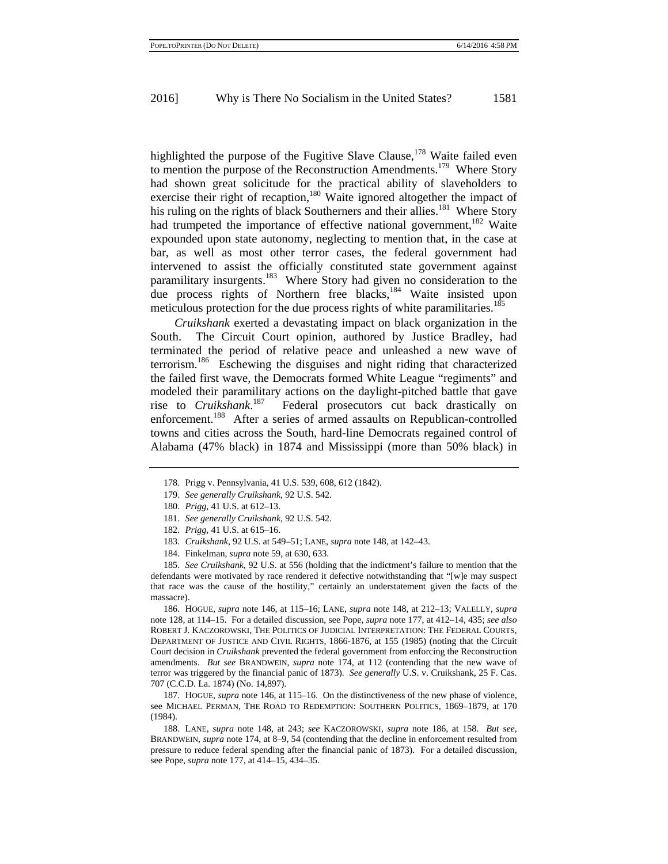highlighted the purpose of the Fugitive Slave Clause,<sup>178</sup> Waite failed even to mention the purpose of the Reconstruction Amendments.<sup>179</sup> Where Story had shown great solicitude for the practical ability of slaveholders to exercise their right of recaption,<sup>180</sup> Waite ignored altogether the impact of his ruling on the rights of black Southerners and their allies.<sup>181</sup> Where Story had trumpeted the importance of effective national government,<sup>182</sup> Waite expounded upon state autonomy, neglecting to mention that, in the case at bar, as well as most other terror cases, the federal government had intervened to assist the officially constituted state government against paramilitary insurgents.<sup>183</sup> Where Story had given no consideration to the due process rights of Northern free blacks,<sup>184</sup> Waite insisted upon meticulous protection for the due process rights of white paramilitaries.<sup>185</sup>

*Cruikshank* exerted a devastating impact on black organization in the South. The Circuit Court opinion, authored by Justice Bradley, had terminated the period of relative peace and unleashed a new wave of terrorism.186 Eschewing the disguises and night riding that characterized the failed first wave, the Democrats formed White League "regiments" and modeled their paramilitary actions on the daylight-pitched battle that gave rise to *Cruikshank*. 187 Federal prosecutors cut back drastically on enforcement.<sup>188</sup> After a series of armed assaults on Republican-controlled towns and cities across the South, hard-line Democrats regained control of Alabama (47% black) in 1874 and Mississippi (more than 50% black) in

- 179. *See generally Cruikshank*, 92 U.S. 542.
- 180. *Prigg*, 41 U.S. at 612–13.
- 181. *See generally Cruikshank*, 92 U.S. 542.
- 182. *Prigg*, 41 U.S. at 615–16.
- 183. *Cruikshank*, 92 U.S. at 549–51; LANE, *supra* note 148, at 142–43.
- 184. Finkelman, *supra* note 59, at 630, 633.

185. *See Cruikshank*, 92 U.S. at 556 (holding that the indictment's failure to mention that the defendants were motivated by race rendered it defective notwithstanding that "[w]e may suspect that race was the cause of the hostility," certainly an understatement given the facts of the massacre).

186. HOGUE, *supra* note 146, at 115–16; LANE, *supra* note 148, at 212–13; VALELLY, *supra*  note 128, at 114–15. For a detailed discussion, see Pope, *supra* note 177, at 412–14, 435; *see also*  ROBERT J. KACZOROWSKI, THE POLITICS OF JUDICIAL INTERPRETATION: THE FEDERAL COURTS, DEPARTMENT OF JUSTICE AND CIVIL RIGHTS, 1866-1876, at 155 (1985) (noting that the Circuit Court decision in *Cruikshank* prevented the federal government from enforcing the Reconstruction amendments. *But see* BRANDWEIN, *supra* note 174, at 112 (contending that the new wave of terror was triggered by the financial panic of 1873). *See generally* U.S. v. Cruikshank, 25 F. Cas. 707 (C.C.D. La. 1874) (No. 14,897).

187. HOGUE, *supra* note 146, at 115–16. On the distinctiveness of the new phase of violence, see MICHAEL PERMAN, THE ROAD TO REDEMPTION: SOUTHERN POLITICS, 1869–1879, at 170 (1984).

188. LANE, *supra* note 148, at 243; *see* KACZOROWSKI, *supra* note 186, at 158. *But see*, BRANDWEIN, *supra* note 174, at 8–9, 54 (contending that the decline in enforcement resulted from pressure to reduce federal spending after the financial panic of 1873). For a detailed discussion, see Pope, *supra* note 177, at 414–15, 434–35.

<sup>178.</sup> Prigg v. Pennsylvania, 41 U.S. 539, 608, 612 (1842).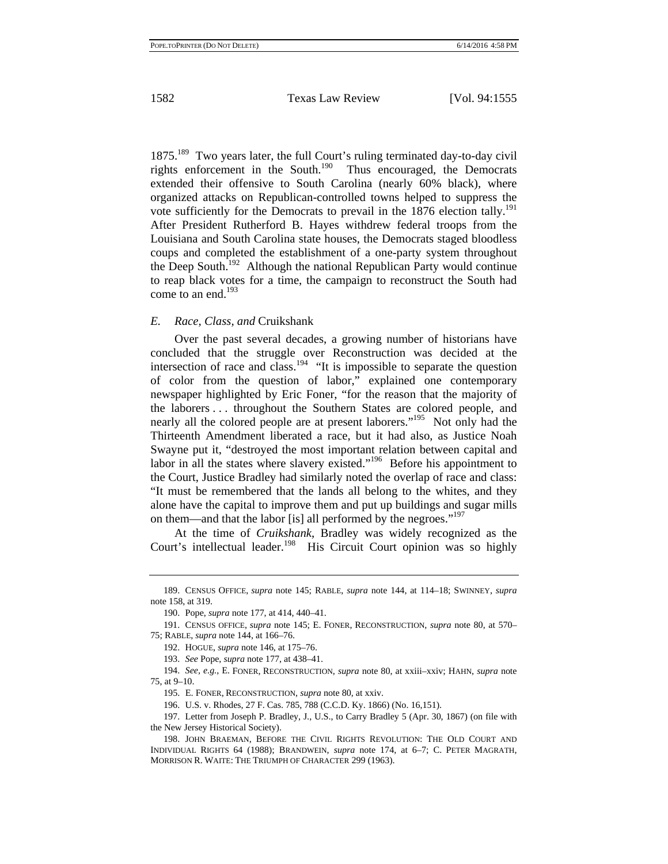1875.189 Two years later, the full Court's ruling terminated day-to-day civil rights enforcement in the South.190 Thus encouraged, the Democrats extended their offensive to South Carolina (nearly 60% black), where organized attacks on Republican-controlled towns helped to suppress the vote sufficiently for the Democrats to prevail in the  $1876$  election tally.<sup>191</sup> After President Rutherford B. Hayes withdrew federal troops from the Louisiana and South Carolina state houses, the Democrats staged bloodless coups and completed the establishment of a one-party system throughout the Deep South.<sup>192</sup> Although the national Republican Party would continue to reap black votes for a time, the campaign to reconstruct the South had come to an end. $193$ 

#### *E. Race, Class, and* Cruikshank

Over the past several decades, a growing number of historians have concluded that the struggle over Reconstruction was decided at the intersection of race and class.<sup>194</sup> "It is impossible to separate the question of color from the question of labor," explained one contemporary newspaper highlighted by Eric Foner, "for the reason that the majority of the laborers . . . throughout the Southern States are colored people, and nearly all the colored people are at present laborers."<sup>195</sup> Not only had the Thirteenth Amendment liberated a race, but it had also, as Justice Noah Swayne put it, "destroyed the most important relation between capital and labor in all the states where slavery existed."<sup>196</sup> Before his appointment to the Court, Justice Bradley had similarly noted the overlap of race and class: "It must be remembered that the lands all belong to the whites, and they alone have the capital to improve them and put up buildings and sugar mills on them—and that the labor [is] all performed by the negroes."<sup>197</sup>

At the time of *Cruikshank*, Bradley was widely recognized as the Court's intellectual leader.<sup>198</sup> His Circuit Court opinion was so highly

195. E. FONER, RECONSTRUCTION, *supra* note 80, at xxiv.

196. U.S. v. Rhodes, 27 F. Cas. 785, 788 (C.C.D. Ky. 1866) (No. 16,151).

197. Letter from Joseph P. Bradley, J., U.S., to Carry Bradley 5 (Apr. 30, 1867) (on file with the New Jersey Historical Society).

<sup>189.</sup> CENSUS OFFICE, *supra* note 145; RABLE, *supra* note 144, at 114–18; SWINNEY, *supra* note 158, at 319.

<sup>190.</sup> Pope, *supra* note 177, at 414, 440–41.

<sup>191.</sup> CENSUS OFFICE, *supra* note 145; E. FONER, RECONSTRUCTION, *supra* note 80, at 570– 75; RABLE, *supra* note 144, at 166–76.

<sup>192.</sup> HOGUE, *supra* note 146, at 175–76.

<sup>193.</sup> *See* Pope, *supra* note 177, at 438–41.

<sup>194.</sup> *See, e.g.*, E. FONER, RECONSTRUCTION, *supra* note 80, at xxiii–xxiv; HAHN, *supra* note 75, at 9–10.

<sup>198.</sup> JOHN BRAEMAN, BEFORE THE CIVIL RIGHTS REVOLUTION: THE OLD COURT AND INDIVIDUAL RIGHTS 64 (1988); BRANDWEIN, *supra* note 174, at 6–7; C. PETER MAGRATH, MORRISON R. WAITE: THE TRIUMPH OF CHARACTER 299 (1963).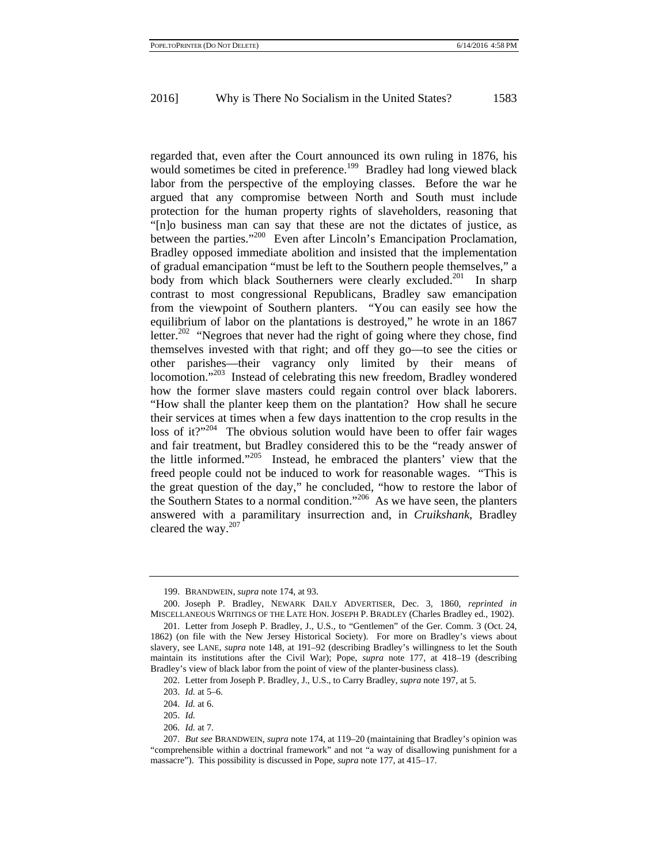regarded that, even after the Court announced its own ruling in 1876, his would sometimes be cited in preference.<sup>199</sup> Bradley had long viewed black labor from the perspective of the employing classes. Before the war he argued that any compromise between North and South must include protection for the human property rights of slaveholders, reasoning that "[n]o business man can say that these are not the dictates of justice, as between the parties."<sup>200</sup> Even after Lincoln's Emancipation Proclamation, Bradley opposed immediate abolition and insisted that the implementation of gradual emancipation "must be left to the Southern people themselves," a body from which black Southerners were clearly excluded.<sup>201</sup> In sharp contrast to most congressional Republicans, Bradley saw emancipation from the viewpoint of Southern planters. "You can easily see how the equilibrium of labor on the plantations is destroyed," he wrote in an 1867 letter.<sup>202</sup> "Negroes that never had the right of going where they chose, find themselves invested with that right; and off they go—to see the cities or other parishes—their vagrancy only limited by their means of locomotion."<sup>203</sup> Instead of celebrating this new freedom, Bradley wondered how the former slave masters could regain control over black laborers. "How shall the planter keep them on the plantation? How shall he secure their services at times when a few days inattention to the crop results in the loss of it? $10^{1204}$  The obvious solution would have been to offer fair wages and fair treatment, but Bradley considered this to be the "ready answer of the little informed."205 Instead, he embraced the planters' view that the freed people could not be induced to work for reasonable wages. "This is the great question of the day," he concluded, "how to restore the labor of the Southern States to a normal condition."206 As we have seen, the planters answered with a paramilitary insurrection and, in *Cruikshank*, Bradley cleared the way.<sup>207</sup>

<sup>199.</sup> BRANDWEIN, *supra* note 174, at 93.

<sup>200.</sup> Joseph P. Bradley, NEWARK DAILY ADVERTISER, Dec. 3, 1860, *reprinted in* MISCELLANEOUS WRITINGS OF THE LATE HON. JOSEPH P. BRADLEY (Charles Bradley ed., 1902).

<sup>201.</sup> Letter from Joseph P. Bradley, J., U.S., to "Gentlemen" of the Ger. Comm. 3 (Oct. 24, 1862) (on file with the New Jersey Historical Society). For more on Bradley's views about slavery, see LANE, *supra* note 148, at 191–92 (describing Bradley's willingness to let the South maintain its institutions after the Civil War); Pope, *supra* note 177, at 418–19 (describing Bradley's view of black labor from the point of view of the planter-business class).

<sup>202.</sup> Letter from Joseph P. Bradley, J., U.S., to Carry Bradley, *supra* note 197, at 5.

<sup>203.</sup> *Id.* at 5–6.

<sup>204.</sup> *Id.* at 6.

<sup>205.</sup> *Id.*

<sup>206.</sup> *Id.* at 7.

<sup>207.</sup> *But see* BRANDWEIN, *supra* note 174, at 119–20 (maintaining that Bradley's opinion was "comprehensible within a doctrinal framework" and not "a way of disallowing punishment for a massacre"). This possibility is discussed in Pope, *supra* note 177, at 415–17.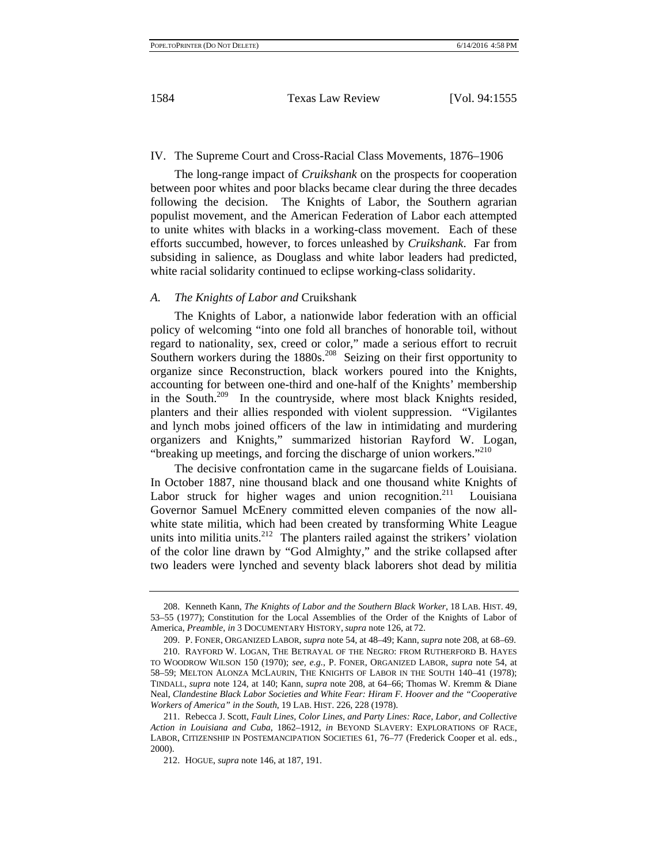#### IV. The Supreme Court and Cross-Racial Class Movements, 1876–1906

The long-range impact of *Cruikshank* on the prospects for cooperation between poor whites and poor blacks became clear during the three decades following the decision. The Knights of Labor, the Southern agrarian populist movement, and the American Federation of Labor each attempted to unite whites with blacks in a working-class movement. Each of these efforts succumbed, however, to forces unleashed by *Cruikshank*. Far from subsiding in salience, as Douglass and white labor leaders had predicted, white racial solidarity continued to eclipse working-class solidarity.

#### *A. The Knights of Labor and* Cruikshank

The Knights of Labor, a nationwide labor federation with an official policy of welcoming "into one fold all branches of honorable toil, without regard to nationality, sex, creed or color," made a serious effort to recruit Southern workers during the 1880s.<sup>208</sup> Seizing on their first opportunity to organize since Reconstruction, black workers poured into the Knights, accounting for between one-third and one-half of the Knights' membership in the South.<sup>209</sup> In the countryside, where most black Knights resided, planters and their allies responded with violent suppression. "Vigilantes and lynch mobs joined officers of the law in intimidating and murdering organizers and Knights," summarized historian Rayford W. Logan, "breaking up meetings, and forcing the discharge of union workers."<sup>210</sup>

The decisive confrontation came in the sugarcane fields of Louisiana. In October 1887, nine thousand black and one thousand white Knights of Labor struck for higher wages and union recognition.<sup>211</sup> Louisiana Governor Samuel McEnery committed eleven companies of the now allwhite state militia, which had been created by transforming White League units into militia units.<sup>212</sup> The planters railed against the strikers' violation of the color line drawn by "God Almighty," and the strike collapsed after two leaders were lynched and seventy black laborers shot dead by militia

<sup>208.</sup> Kenneth Kann, *The Knights of Labor and the Southern Black Worker*, 18 LAB. HIST. 49, 53–55 (1977); Constitution for the Local Assemblies of the Order of the Knights of Labor of America, *Preamble*, *in* 3 DOCUMENTARY HISTORY, *supra* note 126, at 72.

<sup>209.</sup> P. FONER, ORGANIZED LABOR, *supra* note 54, at 48–49; Kann, *supra* note 208, at 68–69. 210. RAYFORD W. LOGAN, THE BETRAYAL OF THE NEGRO: FROM RUTHERFORD B. HAYES TO WOODROW WILSON 150 (1970); *see, e.g.*, P. FONER, ORGANIZED LABOR, *supra* note 54, at 58–59; MELTON ALONZA MCLAURIN, THE KNIGHTS OF LABOR IN THE SOUTH 140–41 (1978); TINDALL, *supra* note 124, at 140; Kann, *supra* note 208, at 64–66; Thomas W. Kremm & Diane Neal, *Clandestine Black Labor Societies and White Fear: Hiram F. Hoover and the "Cooperative Workers of America" in the South*, 19 LAB. HIST. 226, 228 (1978).

<sup>211.</sup> Rebecca J. Scott, *Fault Lines, Color Lines, and Party Lines: Race, Labor, and Collective Action in Louisiana and Cuba*, 1862–1912, *in* BEYOND SLAVERY: EXPLORATIONS OF RACE, LABOR, CITIZENSHIP IN POSTEMANCIPATION SOCIETIES 61, 76–77 (Frederick Cooper et al. eds., 2000).

<sup>212.</sup> HOGUE, *supra* note 146, at 187, 191.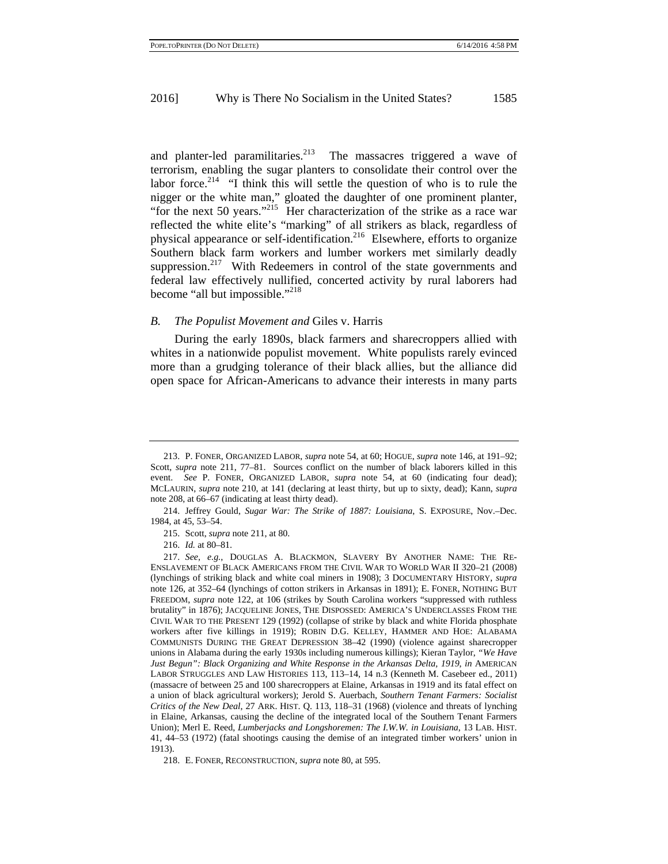and planter-led paramilitaries. $2^{13}$  The massacres triggered a wave of terrorism, enabling the sugar planters to consolidate their control over the labor force.<sup>214</sup> "I think this will settle the question of who is to rule the nigger or the white man," gloated the daughter of one prominent planter, "for the next 50 years."<sup>215</sup> Her characterization of the strike as a race war reflected the white elite's "marking" of all strikers as black, regardless of physical appearance or self-identification.<sup>216</sup> Elsewhere, efforts to organize Southern black farm workers and lumber workers met similarly deadly suppression.<sup>217</sup> With Redeemers in control of the state governments and federal law effectively nullified, concerted activity by rural laborers had become "all but impossible."<sup>218</sup>

#### *B. The Populist Movement and* Giles v. Harris

During the early 1890s, black farmers and sharecroppers allied with whites in a nationwide populist movement. White populists rarely evinced more than a grudging tolerance of their black allies, but the alliance did open space for African-Americans to advance their interests in many parts

<sup>213.</sup> P. FONER, ORGANIZED LABOR, *supra* note 54, at 60; HOGUE, *supra* note 146, at 191–92; Scott, *supra* note 211, 77-81. Sources conflict on the number of black laborers killed in this event. *See* P. FONER, ORGANIZED LABOR, *supra* note 54, at 60 (indicating four dead); MCLAURIN, *supra* note 210, at 141 (declaring at least thirty, but up to sixty, dead); Kann, *supra* note 208, at 66–67 (indicating at least thirty dead).

<sup>214.</sup> Jeffrey Gould, *Sugar War: The Strike of 1887: Louisiana*, S. EXPOSURE, Nov.–Dec. 1984, at 45, 53–54.

<sup>215.</sup> Scott, *supra* note 211, at 80.

<sup>216.</sup> *Id.* at 80–81.

<sup>217.</sup> *See, e.g.*, DOUGLAS A. BLACKMON, SLAVERY BY ANOTHER NAME: THE RE-ENSLAVEMENT OF BLACK AMERICANS FROM THE CIVIL WAR TO WORLD WAR II 320–21 (2008) (lynchings of striking black and white coal miners in 1908); 3 DOCUMENTARY HISTORY, *supra* note 126, at 352–64 (lynchings of cotton strikers in Arkansas in 1891); E. FONER, NOTHING BUT FREEDOM, *supra* note 122, at 106 (strikes by South Carolina workers "suppressed with ruthless brutality" in 1876); JACQUELINE JONES, THE DISPOSSED: AMERICA'S UNDERCLASSES FROM THE CIVIL WAR TO THE PRESENT 129 (1992) (collapse of strike by black and white Florida phosphate workers after five killings in 1919); ROBIN D.G. KELLEY, HAMMER AND HOE: ALABAMA COMMUNISTS DURING THE GREAT DEPRESSION 38–42 (1990) (violence against sharecropper unions in Alabama during the early 1930s including numerous killings); Kieran Taylor, *"We Have Just Begun": Black Organizing and White Response in the Arkansas Delta, 1919*, *in* AMERICAN LABOR STRUGGLES AND LAW HISTORIES 113, 113–14, 14 n.3 (Kenneth M. Casebeer ed., 2011) (massacre of between 25 and 100 sharecroppers at Elaine, Arkansas in 1919 and its fatal effect on a union of black agricultural workers); Jerold S. Auerbach, *Southern Tenant Farmers: Socialist Critics of the New Deal*, 27 ARK. HIST. Q. 113, 118–31 (1968) (violence and threats of lynching in Elaine, Arkansas, causing the decline of the integrated local of the Southern Tenant Farmers Union); Merl E. Reed, *Lumberjacks and Longshoremen: The I.W.W. in Louisiana*, 13 LAB. HIST. 41, 44–53 (1972) (fatal shootings causing the demise of an integrated timber workers' union in 1913).

<sup>218.</sup> E. FONER, RECONSTRUCTION, *supra* note 80, at 595.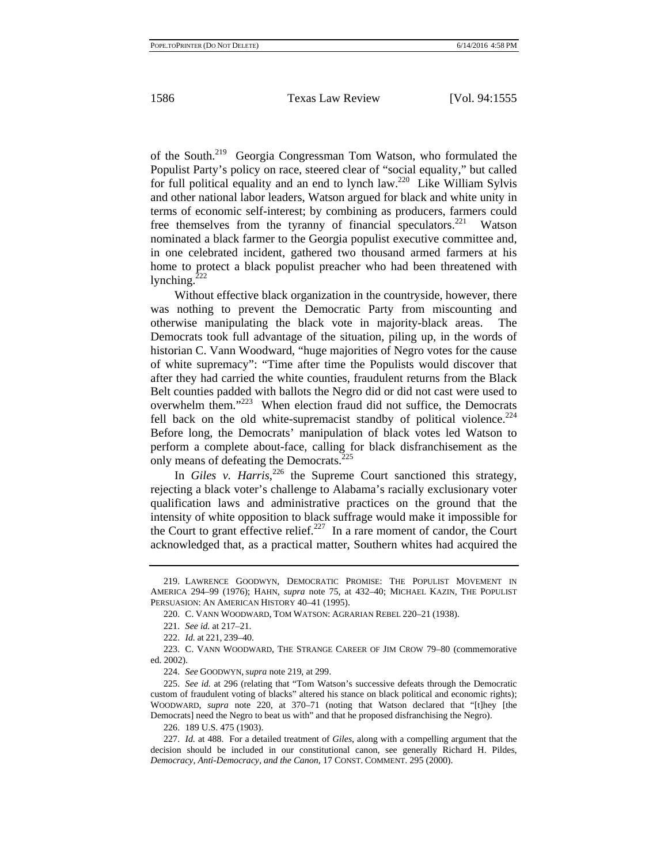of the South.219 Georgia Congressman Tom Watson, who formulated the Populist Party's policy on race, steered clear of "social equality," but called for full political equality and an end to lynch law.220 Like William Sylvis and other national labor leaders, Watson argued for black and white unity in terms of economic self-interest; by combining as producers, farmers could free themselves from the tyranny of financial speculators.<sup>221</sup> Watson nominated a black farmer to the Georgia populist executive committee and, in one celebrated incident, gathered two thousand armed farmers at his home to protect a black populist preacher who had been threatened with lynching. $222$ 

Without effective black organization in the countryside, however, there was nothing to prevent the Democratic Party from miscounting and otherwise manipulating the black vote in majority-black areas. The Democrats took full advantage of the situation, piling up, in the words of historian C. Vann Woodward, "huge majorities of Negro votes for the cause of white supremacy": "Time after time the Populists would discover that after they had carried the white counties, fraudulent returns from the Black Belt counties padded with ballots the Negro did or did not cast were used to overwhelm them."223 When election fraud did not suffice, the Democrats fell back on the old white-supremacist standby of political violence.<sup>224</sup> Before long, the Democrats' manipulation of black votes led Watson to perform a complete about-face, calling for black disfranchisement as the only means of defeating the Democrats.<sup>225</sup>

In *Giles v. Harris*<sup>226</sup>, the Supreme Court sanctioned this strategy, rejecting a black voter's challenge to Alabama's racially exclusionary voter qualification laws and administrative practices on the ground that the intensity of white opposition to black suffrage would make it impossible for the Court to grant effective relief.<sup>227</sup> In a rare moment of candor, the Court acknowledged that, as a practical matter, Southern whites had acquired the

<sup>219.</sup> LAWRENCE GOODWYN, DEMOCRATIC PROMISE: THE POPULIST MOVEMENT IN AMERICA 294–99 (1976); HAHN, *supra* note 75, at 432–40; MICHAEL KAZIN, THE POPULIST PERSUASION: AN AMERICAN HISTORY 40–41 (1995).

<sup>220.</sup> C. VANN WOODWARD, TOM WATSON: AGRARIAN REBEL 220–21 (1938).

<sup>221.</sup> *See id.* at 217–21.

<sup>222.</sup> *Id.* at 221, 239–40.

<sup>223.</sup> C. VANN WOODWARD, THE STRANGE CAREER OF JIM CROW 79–80 (commemorative ed. 2002).

<sup>224.</sup> *See* GOODWYN, *supra* note 219, at 299.

<sup>225.</sup> *See id.* at 296 (relating that "Tom Watson's successive defeats through the Democratic custom of fraudulent voting of blacks" altered his stance on black political and economic rights); WOODWARD, *supra* note 220, at 370–71 (noting that Watson declared that "[t]hey [the Democrats] need the Negro to beat us with" and that he proposed disfranchising the Negro).

<sup>226. 189</sup> U.S. 475 (1903).

<sup>227.</sup> *Id.* at 488. For a detailed treatment of *Giles*, along with a compelling argument that the decision should be included in our constitutional canon, see generally Richard H. Pildes, *Democracy, Anti-Democracy, and the Canon*, 17 CONST. COMMENT. 295 (2000).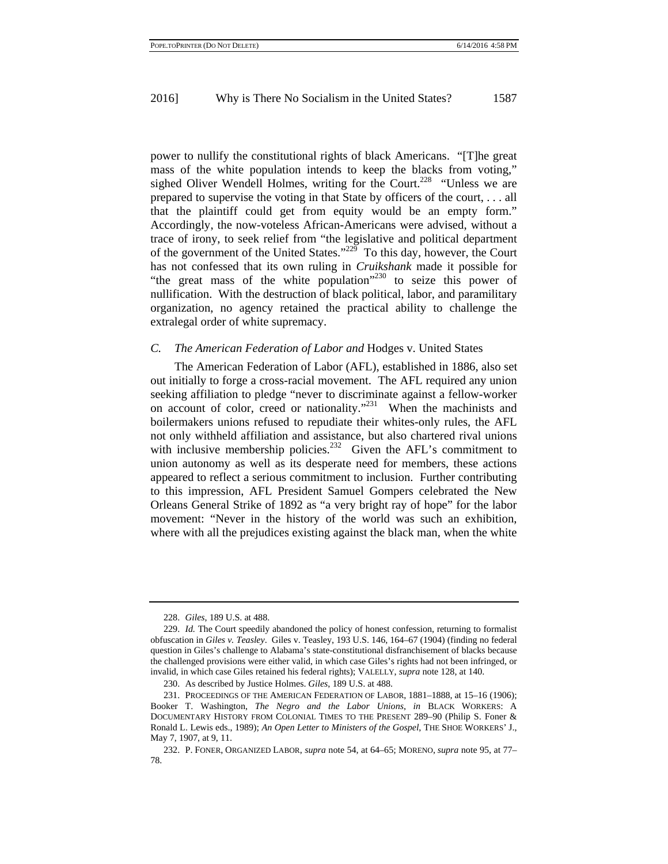power to nullify the constitutional rights of black Americans. "[T]he great mass of the white population intends to keep the blacks from voting," sighed Oliver Wendell Holmes, writing for the Court.<sup>228</sup> "Unless we are prepared to supervise the voting in that State by officers of the court, . . . all that the plaintiff could get from equity would be an empty form." Accordingly, the now-voteless African-Americans were advised, without a trace of irony, to seek relief from "the legislative and political department of the government of the United States." $^{225}$  To this day, however, the Court has not confessed that its own ruling in *Cruikshank* made it possible for "the great mass of the white population"<sup>230</sup> to seize this power of nullification. With the destruction of black political, labor, and paramilitary organization, no agency retained the practical ability to challenge the extralegal order of white supremacy.

#### *C. The American Federation of Labor and* Hodges v. United States

The American Federation of Labor (AFL), established in 1886, also set out initially to forge a cross-racial movement. The AFL required any union seeking affiliation to pledge "never to discriminate against a fellow-worker on account of color, creed or nationality."<sup>231</sup> When the machinists and boilermakers unions refused to repudiate their whites-only rules, the AFL not only withheld affiliation and assistance, but also chartered rival unions with inclusive membership policies.<sup>232</sup> Given the AFL's commitment to union autonomy as well as its desperate need for members, these actions appeared to reflect a serious commitment to inclusion. Further contributing to this impression, AFL President Samuel Gompers celebrated the New Orleans General Strike of 1892 as "a very bright ray of hope" for the labor movement: "Never in the history of the world was such an exhibition, where with all the prejudices existing against the black man, when the white

<sup>228.</sup> *Giles*, 189 U.S. at 488.

<sup>229.</sup> *Id.* The Court speedily abandoned the policy of honest confession, returning to formalist obfuscation in *Giles v. Teasley*. Giles v. Teasley, 193 U.S. 146, 164–67 (1904) (finding no federal question in Giles's challenge to Alabama's state-constitutional disfranchisement of blacks because the challenged provisions were either valid, in which case Giles's rights had not been infringed, or invalid, in which case Giles retained his federal rights); VALELLY, *supra* note 128, at 140.

<sup>230.</sup> As described by Justice Holmes. *Giles*, 189 U.S. at 488.

<sup>231.</sup> PROCEEDINGS OF THE AMERICAN FEDERATION OF LABOR, 1881–1888, at 15–16 (1906); Booker T. Washington, *The Negro and the Labor Unions*, *in* BLACK WORKERS: A DOCUMENTARY HISTORY FROM COLONIAL TIMES TO THE PRESENT 289–90 (Philip S. Foner & Ronald L. Lewis eds., 1989); *An Open Letter to Ministers of the Gospel*, THE SHOE WORKERS' J., May 7, 1907, at 9, 11.

<sup>232.</sup> P. FONER, ORGANIZED LABOR, *supra* note 54, at 64–65; MORENO, *supra* note 95, at 77– 78.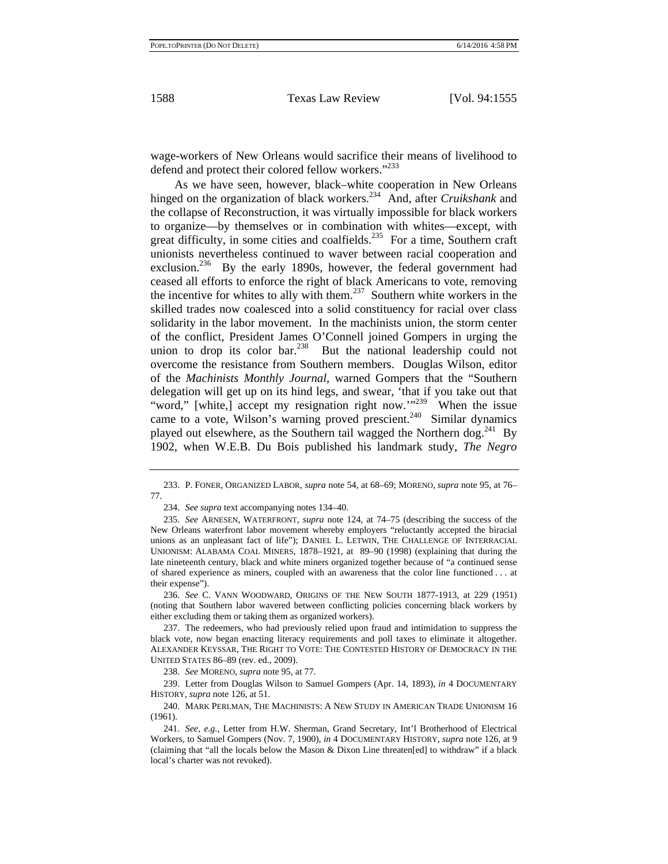wage-workers of New Orleans would sacrifice their means of livelihood to defend and protect their colored fellow workers."<sup>233</sup>

As we have seen, however, black–white cooperation in New Orleans hinged on the organization of black workers.234 And, after *Cruikshank* and the collapse of Reconstruction, it was virtually impossible for black workers to organize—by themselves or in combination with whites—except, with great difficulty, in some cities and coalfields.<sup>235</sup> For a time, Southern craft unionists nevertheless continued to waver between racial cooperation and exclusion.<sup>236</sup> By the early 1890s, however, the federal government had ceased all efforts to enforce the right of black Americans to vote, removing the incentive for whites to ally with them.<sup>237</sup> Southern white workers in the skilled trades now coalesced into a solid constituency for racial over class solidarity in the labor movement. In the machinists union, the storm center of the conflict, President James O'Connell joined Gompers in urging the union to drop its color bar.<sup>238</sup> But the national leadership could not overcome the resistance from Southern members. Douglas Wilson, editor of the *Machinists Monthly Journal*, warned Gompers that the "Southern delegation will get up on its hind legs, and swear, 'that if you take out that "word," [white,] accept my resignation right now."<sup>239</sup> When the issue came to a vote, Wilson's warning proved prescient.<sup>240</sup> Similar dynamics played out elsewhere, as the Southern tail wagged the Northern dog.<sup>241</sup> By 1902, when W.E.B. Du Bois published his landmark study, *The Negro* 

234. *See supra* text accompanying notes 134–40.

236. *See* C. VANN WOODWARD, ORIGINS OF THE NEW SOUTH 1877-1913, at 229 (1951) (noting that Southern labor wavered between conflicting policies concerning black workers by either excluding them or taking them as organized workers).

238. *See* MORENO, *supra* note 95, at 77.

239. Letter from Douglas Wilson to Samuel Gompers (Apr. 14, 1893), *in* 4 DOCUMENTARY HISTORY, *supra* note 126, at 51.

240. MARK PERLMAN, THE MACHINISTS: A NEW STUDY IN AMERICAN TRADE UNIONISM 16 (1961).

<sup>233.</sup> P. FONER, ORGANIZED LABOR, *supra* note 54, at 68–69; MORENO, *supra* note 95, at 76– 77.

<sup>235.</sup> *See* ARNESEN, WATERFRONT, *supra* note 124, at 74–75 (describing the success of the New Orleans waterfront labor movement whereby employers "reluctantly accepted the biracial unions as an unpleasant fact of life"); DANIEL L. LETWIN, THE CHALLENGE OF INTERRACIAL UNIONISM: ALABAMA COAL MINERS, 1878–1921, at 89–90 (1998) (explaining that during the late nineteenth century, black and white miners organized together because of "a continued sense of shared experience as miners, coupled with an awareness that the color line functioned . . . at their expense").

<sup>237.</sup> The redeemers, who had previously relied upon fraud and intimidation to suppress the black vote, now began enacting literacy requirements and poll taxes to eliminate it altogether. ALEXANDER KEYSSAR, THE RIGHT TO VOTE: THE CONTESTED HISTORY OF DEMOCRACY IN THE UNITED STATES 86–89 (rev. ed., 2009).

<sup>241.</sup> *See, e.g.*, Letter from H.W. Sherman, Grand Secretary, Int'l Brotherhood of Electrical Workers, to Samuel Gompers (Nov. 7, 1900), *in* 4 DOCUMENTARY HISTORY, *supra* note 126, at 9 (claiming that "all the locals below the Mason & Dixon Line threaten[ed] to withdraw" if a black local's charter was not revoked).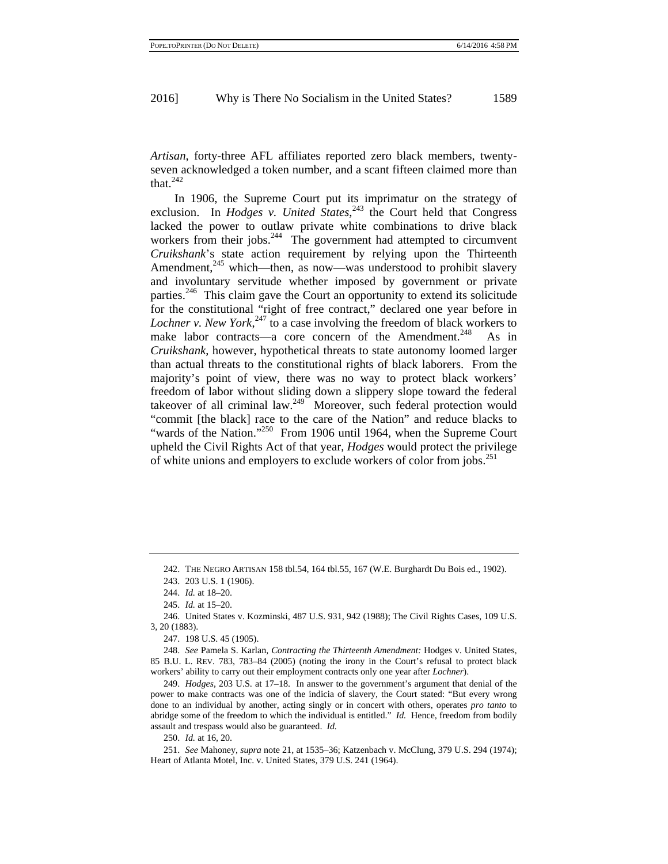*Artisan*, forty-three AFL affiliates reported zero black members, twentyseven acknowledged a token number, and a scant fifteen claimed more than that. $^{242}$ 

In 1906, the Supreme Court put its imprimatur on the strategy of exclusion. In *Hodges v. United States*,<sup>243</sup> the Court held that Congress lacked the power to outlaw private white combinations to drive black workers from their jobs. $244$  The government had attempted to circumvent *Cruikshank*'s state action requirement by relying upon the Thirteenth Amendment, $245$  which—then, as now—was understood to prohibit slavery and involuntary servitude whether imposed by government or private parties.<sup>246</sup> This claim gave the Court an opportunity to extend its solicitude for the constitutional "right of free contract," declared one year before in Lochner v. New York,<sup>247</sup> to a case involving the freedom of black workers to make labor contracts—a core concern of the Amendment.<sup>248</sup> As in *Cruikshank*, however, hypothetical threats to state autonomy loomed larger than actual threats to the constitutional rights of black laborers. From the majority's point of view, there was no way to protect black workers' freedom of labor without sliding down a slippery slope toward the federal takeover of all criminal law. $249$  Moreover, such federal protection would "commit [the black] race to the care of the Nation" and reduce blacks to "wards of the Nation."<sup>250</sup> From 1906 until 1964, when the Supreme Court upheld the Civil Rights Act of that year, *Hodges* would protect the privilege of white unions and employers to exclude workers of color from jobs.<sup>251</sup>

250. *Id.* at 16, 20.

<sup>242.</sup> THE NEGRO ARTISAN 158 tbl.54, 164 tbl.55, 167 (W.E. Burghardt Du Bois ed., 1902).

<sup>243. 203</sup> U.S. 1 (1906).

<sup>244.</sup> *Id.* at 18–20.

<sup>245.</sup> *Id.* at 15–20.

<sup>246.</sup> United States v. Kozminski, 487 U.S. 931, 942 (1988); The Civil Rights Cases, 109 U.S. 3, 20 (1883).

<sup>247. 198</sup> U.S. 45 (1905).

<sup>248.</sup> *See* Pamela S. Karlan, *Contracting the Thirteenth Amendment:* Hodges v. United States, 85 B.U. L. REV. 783, 783–84 (2005) (noting the irony in the Court's refusal to protect black workers' ability to carry out their employment contracts only one year after *Lochner*).

<sup>249.</sup> *Hodges*, 203 U.S. at 17–18. In answer to the government's argument that denial of the power to make contracts was one of the indicia of slavery, the Court stated: "But every wrong done to an individual by another, acting singly or in concert with others, operates *pro tanto* to abridge some of the freedom to which the individual is entitled." *Id.* Hence, freedom from bodily assault and trespass would also be guaranteed. *Id.*

<sup>251.</sup> *See* Mahoney, *supra* note 21, at 1535–36; Katzenbach v. McClung, 379 U.S. 294 (1974); Heart of Atlanta Motel, Inc. v. United States, 379 U.S. 241 (1964).